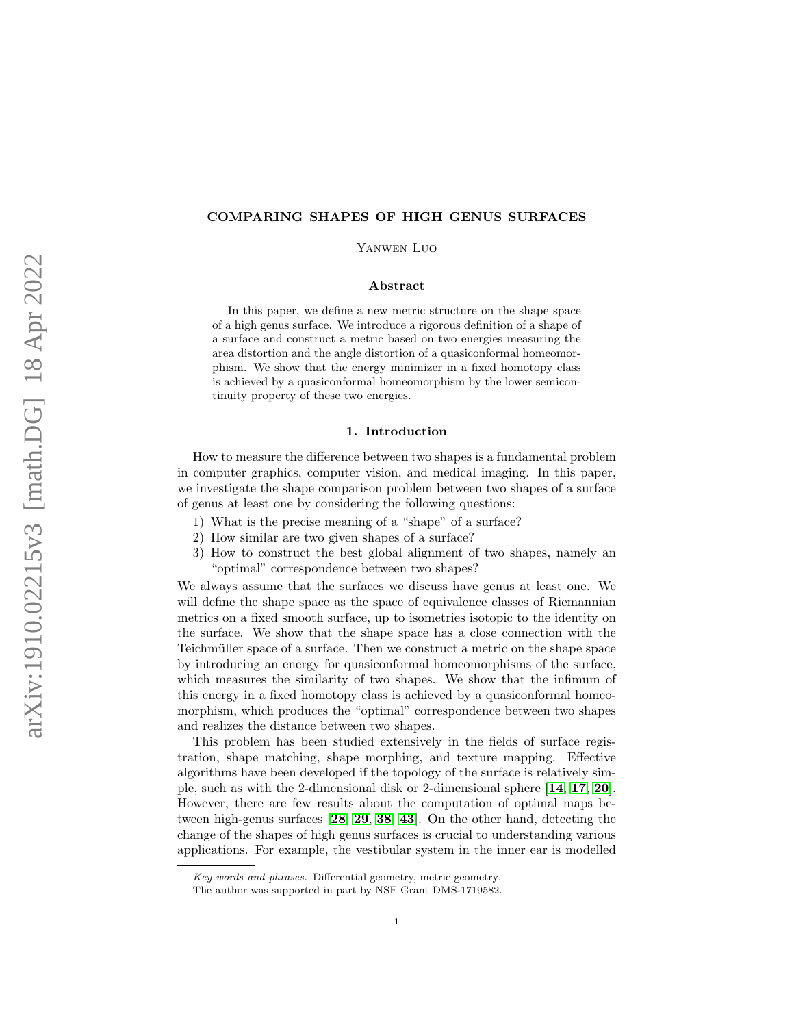# COMPARING SHAPES OF HIGH GENUS SURFACES

Yanwen Luo

## Abstract

In this paper, we define a new metric structure on the shape space of a high genus surface. We introduce a rigorous definition of a shape of a surface and construct a metric based on two energies measuring the area distortion and the angle distortion of a quasiconformal homeomorphism. We show that the energy minimizer in a fixed homotopy class is achieved by a quasiconformal homeomorphism by the lower semicontinuity property of these two energies.

#### 1. Introduction

How to measure the difference between two shapes is a fundamental problem in computer graphics, computer vision, and medical imaging. In this paper, we investigate the shape comparison problem between two shapes of a surface of genus at least one by considering the following questions:

- 1) What is the precise meaning of a "shape" of a surface?
- 2) How similar are two given shapes of a surface?
- 3) How to construct the best global alignment of two shapes, namely an "optimal" correspondence between two shapes?

We always assume that the surfaces we discuss have genus at least one. We will define the shape space as the space of equivalence classes of Riemannian metrics on a fixed smooth surface, up to isometries isotopic to the identity on the surface. We show that the shape space has a close connection with the Teichmüller space of a surface. Then we construct a metric on the shape space by introducing an energy for quasiconformal homeomorphisms of the surface, which measures the similarity of two shapes. We show that the infimum of this energy in a fixed homotopy class is achieved by a quasiconformal homeomorphism, which produces the "optimal" correspondence between two shapes and realizes the distance between two shapes.

This problem has been studied extensively in the fields of surface registration, shape matching, shape morphing, and texture mapping. Effective algorithms have been developed if the topology of the surface is relatively simple, such as with the 2-dimensional disk or 2-dimensional sphere [[14](#page-17-0), [17](#page-17-1), [20](#page-17-2)]. However, there are few results about the computation of optimal maps between high-genus surfaces [[28](#page-18-0), [29](#page-18-1), [38](#page-18-2), [43](#page-18-3)]. On the other hand, detecting the change of the shapes of high genus surfaces is crucial to understanding various applications. For example, the vestibular system in the inner ear is modelled

Key words and phrases. Differential geometry, metric geometry.

The author was supported in part by NSF Grant DMS-1719582.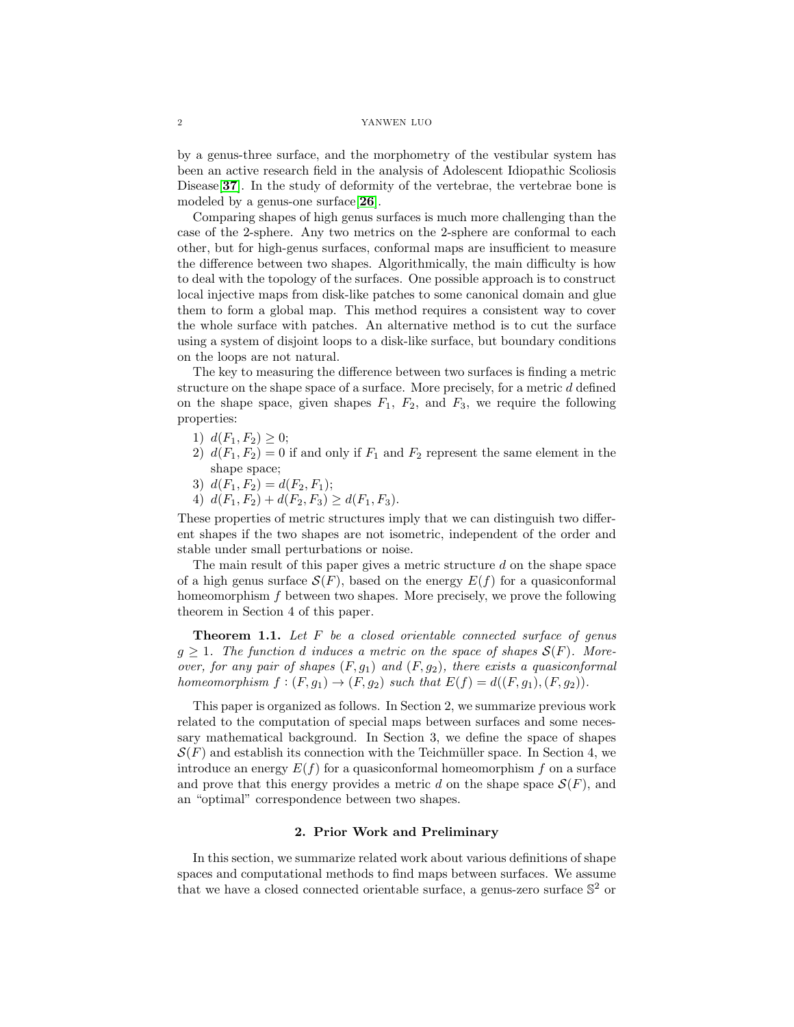by a genus-three surface, and the morphometry of the vestibular system has been an active research field in the analysis of Adolescent Idiopathic Scoliosis Disease<sup>[[37](#page-18-4)]</sup>. In the study of deformity of the vertebrae, the vertebrae bone is modeled by a genus-one surface[[26](#page-18-5)].

Comparing shapes of high genus surfaces is much more challenging than the case of the 2-sphere. Any two metrics on the 2-sphere are conformal to each other, but for high-genus surfaces, conformal maps are insufficient to measure the difference between two shapes. Algorithmically, the main difficulty is how to deal with the topology of the surfaces. One possible approach is to construct local injective maps from disk-like patches to some canonical domain and glue them to form a global map. This method requires a consistent way to cover the whole surface with patches. An alternative method is to cut the surface using a system of disjoint loops to a disk-like surface, but boundary conditions on the loops are not natural.

The key to measuring the difference between two surfaces is finding a metric structure on the shape space of a surface. More precisely, for a metric d defined on the shape space, given shapes  $F_1$ ,  $F_2$ , and  $F_3$ , we require the following properties:

- 1)  $d(F_1, F_2) \geq 0$ ;
- 2)  $d(F_1, F_2) = 0$  if and only if  $F_1$  and  $F_2$  represent the same element in the shape space;
- 3)  $d(F_1, F_2) = d(F_2, F_1);$
- 4)  $d(F_1, F_2) + d(F_2, F_3) \geq d(F_1, F_3)$ .

These properties of metric structures imply that we can distinguish two different shapes if the two shapes are not isometric, independent of the order and stable under small perturbations or noise.

The main result of this paper gives a metric structure  $d$  on the shape space of a high genus surface  $\mathcal{S}(F)$ , based on the energy  $E(f)$  for a quasiconformal homeomorphism f between two shapes. More precisely, we prove the following theorem in Section 4 of this paper.

**Theorem 1.1.** Let  $F$  be a closed orientable connected surface of genus  $g \geq 1$ . The function d induces a metric on the space of shapes  $\mathcal{S}(F)$ . Moreover, for any pair of shapes  $(F, g_1)$  and  $(F, g_2)$ , there exists a quasiconformal homeomorphism  $f:(F,g_1)\to (F,g_2)$  such that  $E(f)=d((F,g_1),(F,g_2)).$ 

This paper is organized as follows. In Section 2, we summarize previous work related to the computation of special maps between surfaces and some necessary mathematical background. In Section 3, we define the space of shapes  $\mathcal{S}(F)$  and establish its connection with the Teichmüller space. In Section 4, we introduce an energy  $E(f)$  for a quasiconformal homeomorphism f on a surface and prove that this energy provides a metric d on the shape space  $\mathcal{S}(F)$ , and an "optimal" correspondence between two shapes.

# 2. Prior Work and Preliminary

In this section, we summarize related work about various definitions of shape spaces and computational methods to find maps between surfaces. We assume that we have a closed connected orientable surface, a genus-zero surface  $\mathbb{S}^2$  or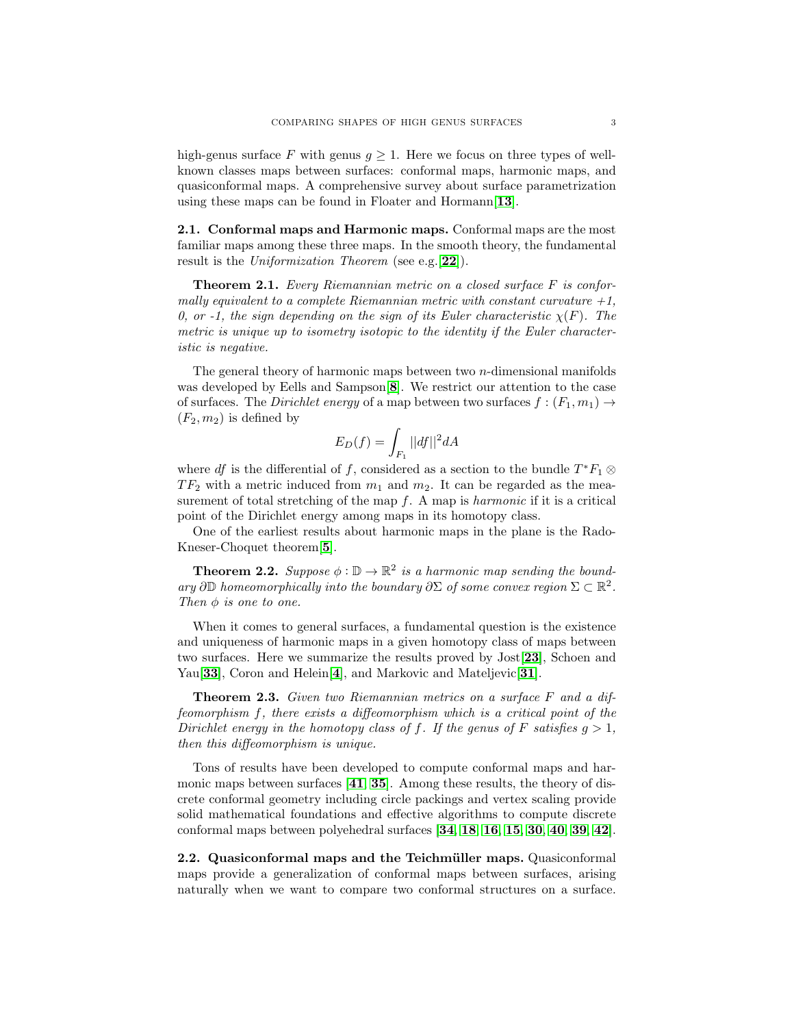high-genus surface F with genus  $g \geq 1$ . Here we focus on three types of wellknown classes maps between surfaces: conformal maps, harmonic maps, and quasiconformal maps. A comprehensive survey about surface parametrization using these maps can be found in Floater and Hormann  $[13]$  $[13]$  $[13]$ .

2.1. Conformal maps and Harmonic maps. Conformal maps are the most familiar maps among these three maps. In the smooth theory, the fundamental result is the Uniformization Theorem (see e.g.  $[22]$  $[22]$  $[22]$ ).

**Theorem 2.1.** Every Riemannian metric on a closed surface  $F$  is conformally equivalent to a complete Riemannian metric with constant curvature  $+1$ , 0, or -1, the sign depending on the sign of its Euler characteristic  $\chi(F)$ . The metric is unique up to isometry isotopic to the identity if the Euler characteristic is negative.

The general theory of harmonic maps between two  $n$ -dimensional manifolds was developed by Eells and Sampson[[8](#page-17-5)]. We restrict our attention to the case of surfaces. The *Dirichlet energy* of a map between two surfaces  $f : (F_1, m_1) \rightarrow$  $(F_2, m_2)$  is defined by

$$
E_D(f) = \int_{F_1} ||df||^2 dA
$$

where df is the differential of f, considered as a section to the bundle  $T^*F_1 \otimes$  $TF_2$  with a metric induced from  $m_1$  and  $m_2$ . It can be regarded as the measurement of total stretching of the map  $f$ . A map is *harmonic* if it is a critical point of the Dirichlet energy among maps in its homotopy class.

One of the earliest results about harmonic maps in the plane is the Rado-Kneser-Choquet theorem[[5](#page-17-6)].

**Theorem 2.2.** Suppose  $\phi : \mathbb{D} \to \mathbb{R}^2$  is a harmonic map sending the boundary  $\partial \mathbb{D}$  homeomorphically into the boundary  $\partial \Sigma$  of some convex region  $\Sigma \subset \mathbb{R}^2$ . Then  $\phi$  is one to one.

When it comes to general surfaces, a fundamental question is the existence and uniqueness of harmonic maps in a given homotopy class of maps between two surfaces. Here we summarize the results proved by Jost[[23](#page-17-7)], Schoen and Yau<sup>[</sup>[33](#page-18-6)], Coron and Helein<sup>[[4](#page-17-8)]</sup>, and Markovic and Mateljevic<sup>[[31](#page-18-7)]</sup>.

**Theorem 2.3.** Given two Riemannian metrics on a surface  $F$  and a diffeomorphism f, there exists a diffeomorphism which is a critical point of the Dirichlet energy in the homotopy class of f. If the genus of F satisfies  $g > 1$ , then this diffeomorphism is unique.

Tons of results have been developed to compute conformal maps and harmonic maps between surfaces  $[41, 35]$  $[41, 35]$  $[41, 35]$  $[41, 35]$  $[41, 35]$ . Among these results, the theory of discrete conformal geometry including circle packings and vertex scaling provide solid mathematical foundations and effective algorithms to compute discrete conformal maps between polyehedral surfaces [[34](#page-18-10), [18](#page-17-9), [16](#page-17-10), [15](#page-17-11), [30](#page-18-11), [40](#page-18-12), [39](#page-18-13), [42](#page-18-14)].

2.2. Quasiconformal maps and the Teichmüller maps. Quasiconformal maps provide a generalization of conformal maps between surfaces, arising naturally when we want to compare two conformal structures on a surface.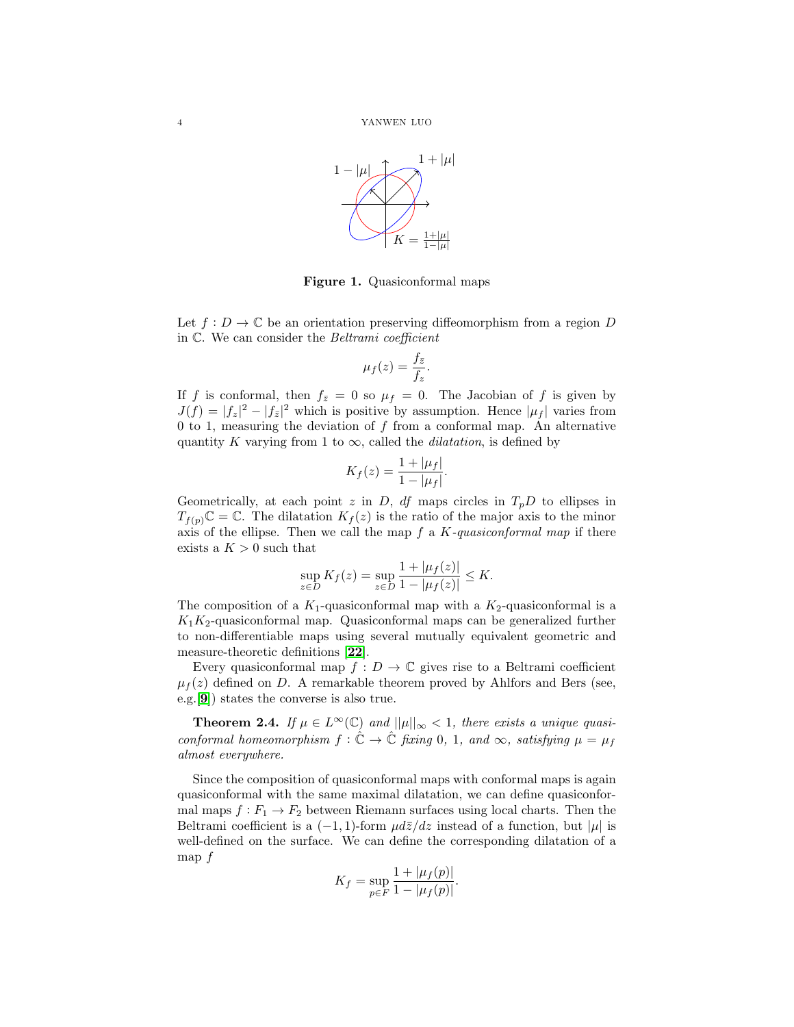

Figure 1. Quasiconformal maps

Let  $f: D \to \mathbb{C}$  be an orientation preserving diffeomorphism from a region D in C. We can consider the Beltrami coefficient

$$
\mu_f(z) = \frac{f_{\bar{z}}}{f_z}
$$

.

If f is conformal, then  $f_{\bar{z}}=0$  so  $\mu_f=0$ . The Jacobian of f is given by  $J(f) = |f_z|^2 - |f_{\bar{z}}|^2$  which is positive by assumption. Hence  $|\mu_f|$  varies from 0 to 1, measuring the deviation of  $f$  from a conformal map. An alternative quantity K varying from 1 to  $\infty$ , called the *dilatation*, is defined by

$$
K_f(z) = \frac{1 + |\mu_f|}{1 - |\mu_f|}.
$$

Geometrically, at each point z in D, df maps circles in  $T_pD$  to ellipses in  $T_{f(p)}\mathbb{C} = \mathbb{C}$ . The dilatation  $K_f(z)$  is the ratio of the major axis to the minor axis of the ellipse. Then we call the map  $f$  a  $K$ -quasiconformal map if there exists a  $K > 0$  such that

$$
\sup_{z \in D} K_f(z) = \sup_{z \in D} \frac{1 + |\mu_f(z)|}{1 - |\mu_f(z)|} \le K.
$$

The composition of a  $K_1$ -quasiconformal map with a  $K_2$ -quasiconformal is a  $K_1K_2$ -quasiconformal map. Quasiconformal maps can be generalized further to non-differentiable maps using several mutually equivalent geometric and measure-theoretic definitions [[22](#page-17-4)].

Every quasiconformal map  $f: D \to \mathbb{C}$  gives rise to a Beltrami coefficient  $\mu_f(z)$  defined on D. A remarkable theorem proved by Ahlfors and Bers (see, e.g.[[9](#page-17-12)]) states the converse is also true.

**Theorem 2.4.** If  $\mu \in L^{\infty}(\mathbb{C})$  and  $||\mu||_{\infty} < 1$ , there exists a unique quasiconformal homeomorphism  $f : \tilde{\mathbb{C}} \to \tilde{\mathbb{C}}$  fixing 0, 1, and  $\infty$ , satisfying  $\mu = \mu_f$ almost everywhere.

Since the composition of quasiconformal maps with conformal maps is again quasiconformal with the same maximal dilatation, we can define quasiconformal maps  $f : F_1 \to F_2$  between Riemann surfaces using local charts. Then the Beltrami coefficient is a  $(-1, 1)$ -form  $\mu d\bar{z}/dz$  instead of a function, but  $|\mu|$  is well-defined on the surface. We can define the corresponding dilatation of a map  $f$ 

$$
K_f = \sup_{p \in F} \frac{1 + |\mu_f(p)|}{1 - |\mu_f(p)|}.
$$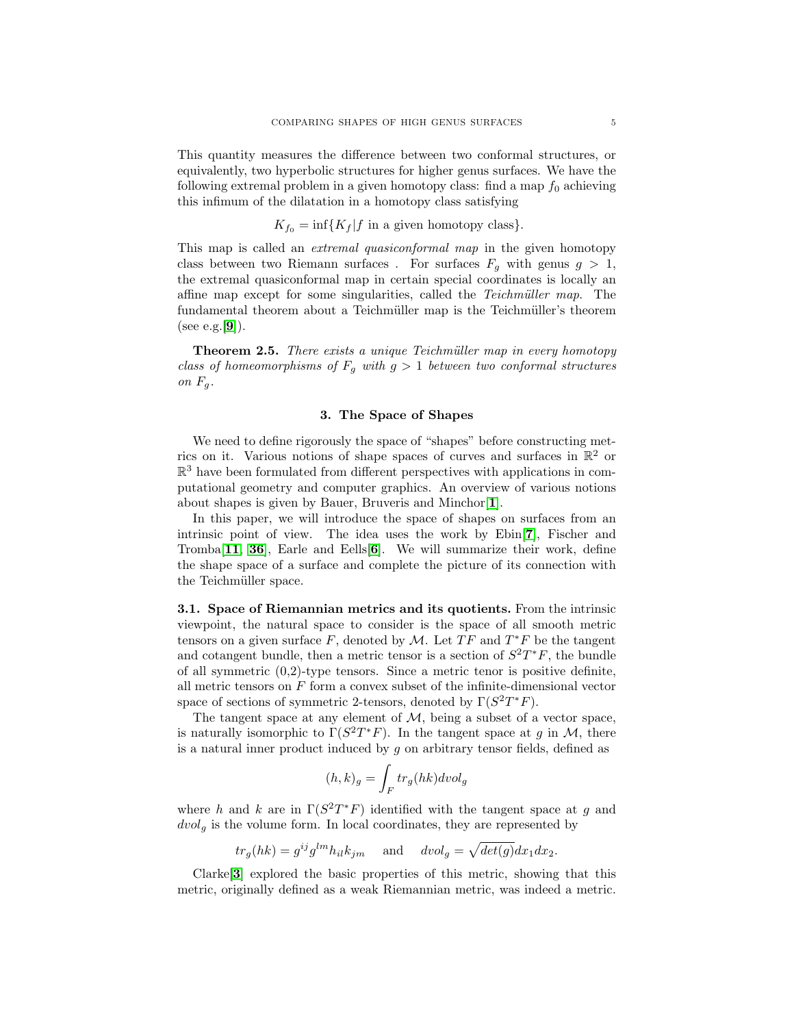This quantity measures the difference between two conformal structures, or equivalently, two hyperbolic structures for higher genus surfaces. We have the following extremal problem in a given homotopy class: find a map  $f_0$  achieving this infimum of the dilatation in a homotopy class satisfying

 $K_{f_0} = \inf\{K_f | f$  in a given homotopy class}.

This map is called an *extremal quasiconformal map* in the given homotopy class between two Riemann surfaces. For surfaces  $F_q$  with genus  $g > 1$ , the extremal quasiconformal map in certain special coordinates is locally an affine map except for some singularities, called the *Teichmüller map*. The fundamental theorem about a Teichmüller map is the Teichmüller's theorem (see e.g.  $[9]$  $[9]$  $[9]$ ).

**Theorem 2.5.** There exists a unique Teichmüller map in every homotopy class of homeomorphisms of  $F_g$  with  $g > 1$  between two conformal structures on  $F_g$ .

# 3. The Space of Shapes

We need to define rigorously the space of "shapes" before constructing metrics on it. Various notions of shape spaces of curves and surfaces in  $\mathbb{R}^2$  or  $\mathbb{R}^3$  have been formulated from different perspectives with applications in computational geometry and computer graphics. An overview of various notions about shapes is given by Bauer, Bruveris and Minchor[[1](#page-16-0)].

In this paper, we will introduce the space of shapes on surfaces from an intrinsic point of view. The idea uses the work by Ebin[[7](#page-17-13)], Fischer and Tromba[[11](#page-17-14), [36](#page-18-15)], Earle and Eells[[6](#page-17-15)]. We will summarize their work, define the shape space of a surface and complete the picture of its connection with the Teichmüller space.

3.1. Space of Riemannian metrics and its quotients. From the intrinsic viewpoint, the natural space to consider is the space of all smooth metric tensors on a given surface  $F$ , denoted by  $\mathcal{M}$ . Let  $TF$  and  $T^*F$  be the tangent and cotangent bundle, then a metric tensor is a section of  $S^2T^*F$ , the bundle of all symmetric  $(0,2)$ -type tensors. Since a metric tenor is positive definite, all metric tensors on  $F$  form a convex subset of the infinite-dimensional vector space of sections of symmetric 2-tensors, denoted by  $\Gamma(S^2T^*F)$ .

The tangent space at any element of  $M$ , being a subset of a vector space, is naturally isomorphic to  $\Gamma(S^2T^*F)$ . In the tangent space at g in M, there is a natural inner product induced by  $g$  on arbitrary tensor fields, defined as

$$
(h,k)_g = \int_F tr_g(hk)dvol_g
$$

where h and k are in  $\Gamma(S^2T^*F)$  identified with the tangent space at g and  $dvol<sub>g</sub>$  is the volume form. In local coordinates, they are represented by

 $tr_g(hk) = g^{ij}g^{lm}h_{il}k_{jm}$  and  $dvol_g = \sqrt{det(g)}dx_1dx_2$ .

Clarke[[3](#page-17-16)] explored the basic properties of this metric, showing that this metric, originally defined as a weak Riemannian metric, was indeed a metric.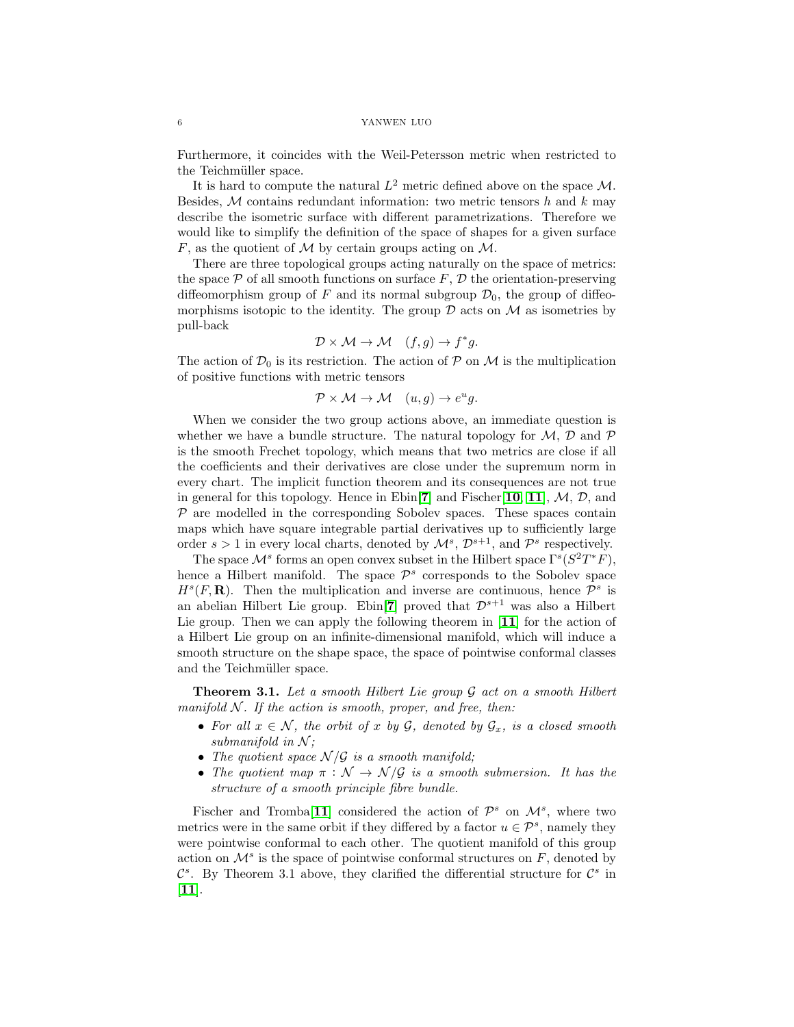Furthermore, it coincides with the Weil-Petersson metric when restricted to the Teichmüller space.

It is hard to compute the natural  $L^2$  metric defined above on the space M. Besides,  $M$  contains redundant information: two metric tensors h and k may describe the isometric surface with different parametrizations. Therefore we would like to simplify the definition of the space of shapes for a given surface  $F$ , as the quotient of  $M$  by certain groups acting on  $M$ .

There are three topological groups acting naturally on the space of metrics: the space  $P$  of all smooth functions on surface  $F, D$  the orientation-preserving diffeomorphism group of F and its normal subgroup  $\mathcal{D}_0$ , the group of diffeomorphisms isotopic to the identity. The group  $\mathcal D$  acts on  $\mathcal M$  as isometries by pull-back

$$
\mathcal{D} \times \mathcal{M} \to \mathcal{M} \quad (f, g) \to f^*g.
$$

The action of  $\mathcal{D}_0$  is its restriction. The action of  $\mathcal P$  on  $\mathcal M$  is the multiplication of positive functions with metric tensors

$$
\mathcal{P} \times \mathcal{M} \to \mathcal{M} \quad (u, g) \to e^u g.
$$

When we consider the two group actions above, an immediate question is whether we have a bundle structure. The natural topology for  $M$ ,  $D$  and  $P$ is the smooth Frechet topology, which means that two metrics are close if all the coefficients and their derivatives are close under the supremum norm in every chart. The implicit function theorem and its consequences are not true in general for this topology. Hence in Ebin[[7](#page-17-13)] and Fischer[[10](#page-17-17), [11](#page-17-14)],  $M$ ,  $D$ , and  $P$  are modelled in the corresponding Sobolev spaces. These spaces contain maps which have square integrable partial derivatives up to sufficiently large order  $s > 1$  in every local charts, denoted by  $\mathcal{M}^s$ ,  $\mathcal{D}^{s+1}$ , and  $\mathcal{P}^s$  respectively.

The space  $\mathcal{M}^s$  forms an open convex subset in the Hilbert space  $\Gamma^s(S^2T^*F)$ , hence a Hilbert manifold. The space  $\mathcal{P}^s$  corresponds to the Sobolev space  $H<sup>s</sup>(F, \mathbf{R})$ . Then the multiplication and inverse are continuous, hence  $\mathcal{P}^s$  is an abelian Hilbert Lie group. Ebin[[7](#page-17-13)] proved that  $\mathcal{D}^{s+1}$  was also a Hilbert Lie group. Then we can apply the following theorem in [[11](#page-17-14)] for the action of a Hilbert Lie group on an infinite-dimensional manifold, which will induce a smooth structure on the shape space, the space of pointwise conformal classes and the Teichmüller space.

**Theorem 3.1.** Let a smooth Hilbert Lie group  $G$  act on a smooth Hilbert manifold  $N$ . If the action is smooth, proper, and free, then:

- For all  $x \in \mathcal{N}$ , the orbit of x by  $\mathcal{G}$ , denoted by  $\mathcal{G}_x$ , is a closed smooth submanifold in  $N$ ;
- The quotient space  $\mathcal{N}/\mathcal{G}$  is a smooth manifold;
- The quotient map  $\pi : \mathcal{N} \to \mathcal{N}/\mathcal{G}$  is a smooth submersion. It has the structure of a smooth principle fibre bundle.

Fischer and Tromba<sup>[[11](#page-17-14)]</sup> considered the action of  $\mathcal{P}^s$  on  $\mathcal{M}^s$ , where two metrics were in the same orbit if they differed by a factor  $u \in \mathcal{P}^s$ , namely they were pointwise conformal to each other. The quotient manifold of this group action on  $\mathcal{M}^s$  is the space of pointwise conformal structures on  $F$ , denoted by  $\mathcal{C}^s$ . By Theorem 3.1 above, they clarified the differential structure for  $\mathcal{C}^s$  in  $[11]$  $[11]$  $[11]$ .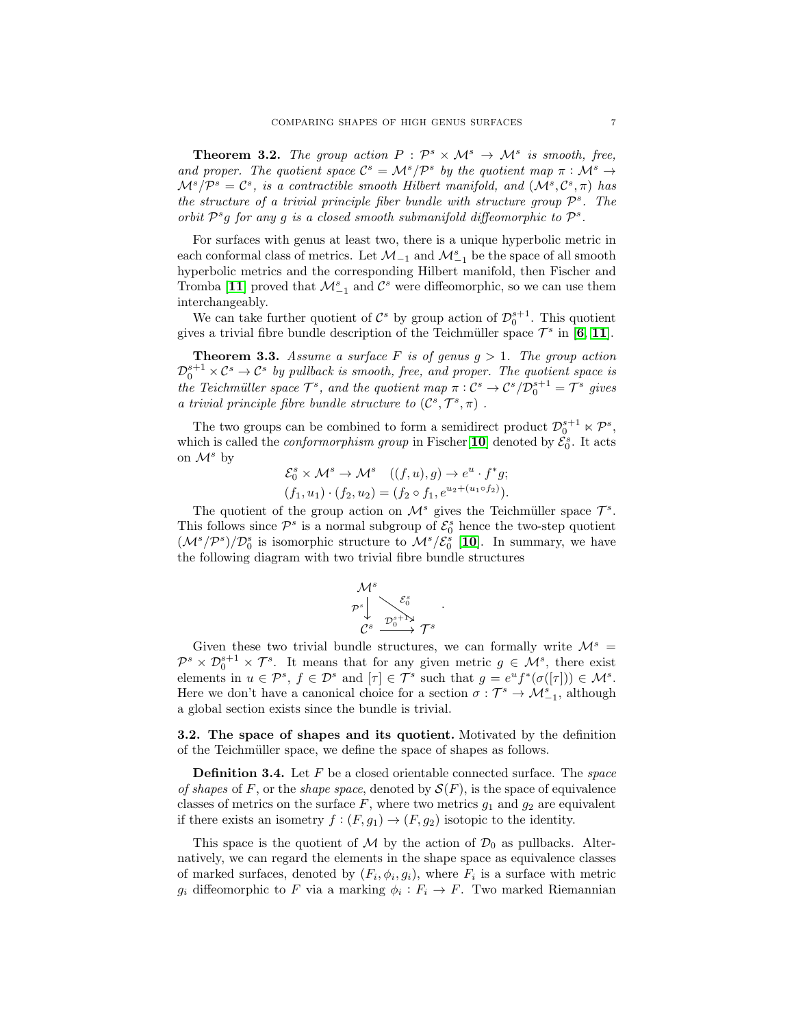**Theorem 3.2.** The group action  $P : \mathcal{P}^s \times \mathcal{M}^s \to \mathcal{M}^s$  is smooth, free, and proper. The quotient space  $\mathcal{C}^s = \mathcal{M}^s/\mathcal{P}^s$  by the quotient map  $\pi : \mathcal{M}^s \to$  $\mathcal{M}^s/\mathcal{P}^s = \mathcal{C}^s$ , is a contractible smooth Hilbert manifold, and  $(\mathcal{M}^s, \mathcal{C}^s, \pi)$  has the structure of a trivial principle fiber bundle with structure group  $\mathcal{P}^s$ . The orbit  $\mathcal{P}^s g$  for any g is a closed smooth submanifold diffeomorphic to  $\mathcal{P}^s$ .

For surfaces with genus at least two, there is a unique hyperbolic metric in each conformal class of metrics. Let  $\mathcal{M}_{-1}$  and  $\mathcal{M}_{-1}^s$  be the space of all smooth hyperbolic metrics and the corresponding Hilbert manifold, then Fischer and Tromba [[11](#page-17-14)] proved that  $\mathcal{M}_{-1}^s$  and  $\mathcal{C}^s$  were diffeomorphic, so we can use them interchangeably.

We can take further quotient of  $\mathcal{C}^s$  by group action of  $\mathcal{D}_0^{s+1}$ . This quotient gives a trivial fibre bundle description of the Teichmüller space  $\mathcal{T}^s$  in [[6](#page-17-15), [11](#page-17-14)].

**Theorem 3.3.** Assume a surface F is of genus  $g > 1$ . The group action  $\mathcal{D}_0^{s+1} \times \mathcal{C}^s \to \mathcal{C}^s$  by pullback is smooth, free, and proper. The quotient space is the Teichmüller space  $\mathcal{T}^s$ , and the quotient map  $\pi: \mathcal{C}^s \to \mathcal{C}^s/\mathcal{D}_0^{s+1} = \mathcal{T}^s$  gives a trivial principle fibre bundle structure to  $(C^s, \mathcal{T}^s, \pi)$ .

The two groups can be combined to form a semidirect product  $\mathcal{D}_0^{s+1} \ltimes \mathcal{P}^s$ , which is called the *conformorphism group* in Fischer<sup>[[10](#page-17-17)]</sup> denoted by  $\mathcal{E}_0^s$ . It acts on  $\mathcal{M}^s$  by

$$
\mathcal{E}_0^s \times \mathcal{M}^s \to \mathcal{M}^s \quad ((f, u), g) \to e^u \cdot f^* g;
$$
  

$$
(f_1, u_1) \cdot (f_2, u_2) = (f_2 \circ f_1, e^{u_2 + (u_1 \circ f_2)}).
$$

The quotient of the group action on  $\mathcal{M}^s$  gives the Teichmüller space  $\mathcal{T}^s$ . This follows since  $\mathcal{P}^s$  is a normal subgroup of  $\mathcal{E}_0^s$  hence the two-step quotient  $(M^{s}/\mathcal{P}^{s})/\mathcal{D}_{0}^{s}$  is isomorphic structure to  $\mathcal{M}^{s}/\mathcal{E}_{0}^{s}$  [[10](#page-17-17)]. In summary, we have the following diagram with two trivial fibre bundle structures

$$
\begin{array}{c}\mathcal{M}^{s} \\ \mathcal{P}^{s} \downarrow \searrow \mathcal{E}^{s}_{0} \\ \mathcal{C}^{s} \stackrel{\mathcal{D}^{s+\Gamma_{\lambda}}_{0}}{\longrightarrow} \mathcal{T}^{s}\end{array}
$$

.

Given these two trivial bundle structures, we can formally write  $\mathcal{M}^s$  =  $\mathcal{P}^s \times \mathcal{D}_0^{s+1} \times \mathcal{T}^s$ . It means that for any given metric  $g \in \mathcal{M}^s$ , there exist elements in  $u \in \mathcal{P}^s$ ,  $f \in \mathcal{D}^s$  and  $[\tau] \in \mathcal{T}^s$  such that  $g = e^u f^*(\sigma([\tau])) \in \mathcal{M}^s$ . Here we don't have a canonical choice for a section  $\sigma : \mathcal{T}^s \to \mathcal{M}_{-1}^s$ , although a global section exists since the bundle is trivial.

3.2. The space of shapes and its quotient. Motivated by the definition of the Teichmüller space, we define the space of shapes as follows.

**Definition 3.4.** Let  $F$  be a closed orientable connected surface. The *space* of shapes of F, or the shape space, denoted by  $\mathcal{S}(F)$ , is the space of equivalence classes of metrics on the surface  $F$ , where two metrics  $g_1$  and  $g_2$  are equivalent if there exists an isometry  $f : (F, g_1) \to (F, g_2)$  isotopic to the identity.

This space is the quotient of M by the action of  $\mathcal{D}_0$  as pullbacks. Alternatively, we can regard the elements in the shape space as equivalence classes of marked surfaces, denoted by  $(F_i, \phi_i, g_i)$ , where  $F_i$  is a surface with metric  $g_i$  diffeomorphic to F via a marking  $\phi_i : F_i \to F$ . Two marked Riemannian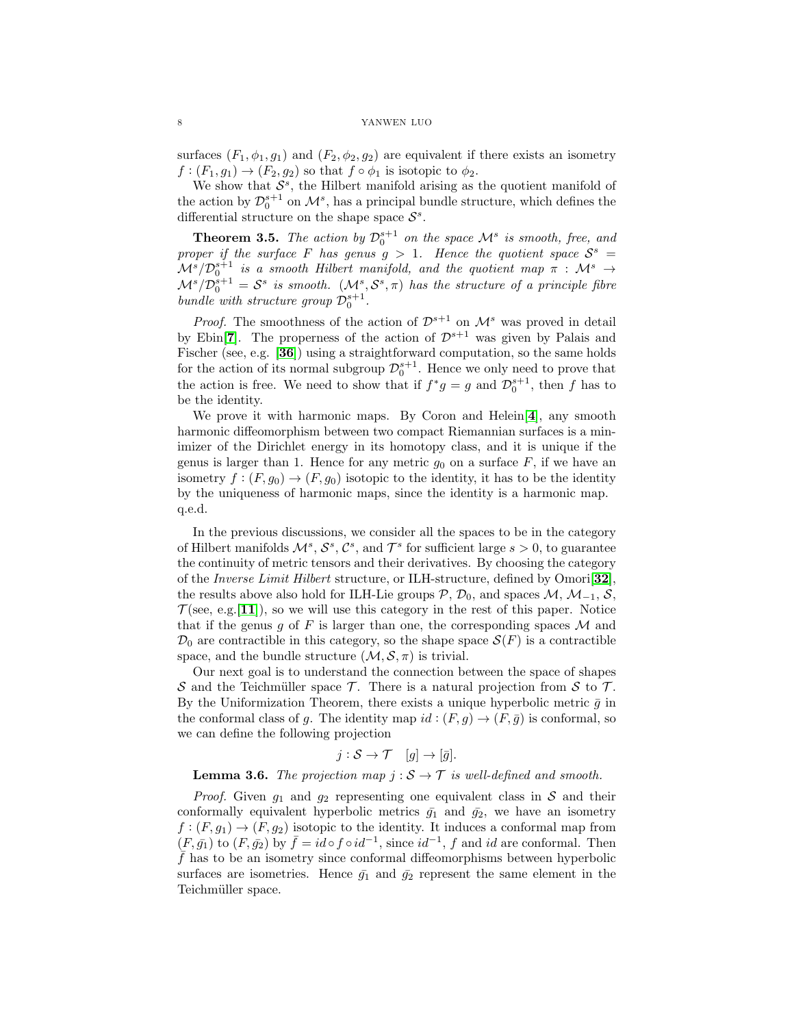surfaces  $(F_1, \phi_1, g_1)$  and  $(F_2, \phi_2, g_2)$  are equivalent if there exists an isometry  $f:(F_1,g_1)\to (F_2,g_2)$  so that  $f\circ \phi_1$  is isotopic to  $\phi_2$ .

We show that  $S^s$ , the Hilbert manifold arising as the quotient manifold of the action by  $\mathcal{D}_0^{s+1}$  on  $\mathcal{M}^s$ , has a principal bundle structure, which defines the differential structure on the shape space  $S^s$ .

**Theorem 3.5.** The action by  $\mathcal{D}_0^{s+1}$  on the space  $\mathcal{M}^s$  is smooth, free, and proper if the surface F has genus  $g > 1$ . Hence the quotient space  $S^s =$  $\mathcal{M}^{s}/\mathcal{D}_{0}^{s+1}$  is a smooth Hilbert manifold, and the quotient map  $\pi$  :  $\mathcal{M}^{s} \rightarrow$  $\mathcal{M}^{s}/\mathcal{D}_{0}^{s+1} = \mathcal{S}^{s}$  is smooth.  $(\mathcal{M}^{s}, \mathcal{S}^{s}, \pi)$  has the structure of a principle fibre bundle with structure group  $\mathcal{D}_0^{s+1}$ .

*Proof.* The smoothness of the action of  $\mathcal{D}^{s+1}$  on  $\mathcal{M}^s$  was proved in detail by Ebin<sup>[[7](#page-17-13)]</sup>. The properness of the action of  $\mathcal{D}^{s+1}$  was given by Palais and Fischer (see, e.g. [[36](#page-18-15)]) using a straightforward computation, so the same holds for the action of its normal subgroup  $\mathcal{D}_0^{s+1}$ . Hence we only need to prove that the action is free. We need to show that if  $f^*g = g$  and  $\mathcal{D}_0^{s+1}$ , then f has to be the identity.

We prove it with harmonic maps. By Coron and Helein $[4]$  $[4]$  $[4]$ , any smooth harmonic diffeomorphism between two compact Riemannian surfaces is a minimizer of the Dirichlet energy in its homotopy class, and it is unique if the genus is larger than 1. Hence for any metric  $g_0$  on a surface  $F$ , if we have an isometry  $f:(F, g_0) \to (F, g_0)$  isotopic to the identity, it has to be the identity by the uniqueness of harmonic maps, since the identity is a harmonic map. q.e.d.

In the previous discussions, we consider all the spaces to be in the category of Hilbert manifolds  $\mathcal{M}^s$ ,  $\mathcal{S}^s$ ,  $\mathcal{C}^s$ , and  $\mathcal{T}^s$  for sufficient large  $s > 0$ , to guarantee the continuity of metric tensors and their derivatives. By choosing the category of the Inverse Limit Hilbert structure, or ILH-structure, defined by Omori[[32](#page-18-16)], the results above also hold for ILH-Lie groups  $\mathcal{P}, \mathcal{D}_0$ , and spaces  $\mathcal{M}, \mathcal{M}_{-1}, \mathcal{S},$  $\mathcal{T}$ (see, e.g. [[11](#page-17-14)]), so we will use this category in the rest of this paper. Notice that if the genus g of F is larger than one, the corresponding spaces  $\mathcal M$  and  $\mathcal{D}_0$  are contractible in this category, so the shape space  $\mathcal{S}(F)$  is a contractible space, and the bundle structure  $(\mathcal{M}, \mathcal{S}, \pi)$  is trivial.

Our next goal is to understand the connection between the space of shapes S and the Teichmüller space  $\mathcal T$ . There is a natural projection from S to  $\mathcal T$ . By the Uniformization Theorem, there exists a unique hyperbolic metric  $\bar{g}$  in the conformal class of g. The identity map  $id : (F, g) \to (F, \bar{g})$  is conformal, so we can define the following projection

$$
j: \mathcal{S} \to \mathcal{T} \quad [g] \to [\bar{g}].
$$

**Lemma 3.6.** The projection map  $j : \mathcal{S} \to \mathcal{T}$  is well-defined and smooth.

*Proof.* Given  $g_1$  and  $g_2$  representing one equivalent class in S and their conformally equivalent hyperbolic metrics  $\bar{g}_1$  and  $\bar{g}_2$ , we have an isometry  $f:(F, g_1) \to (F, g_2)$  isotopic to the identity. It induces a conformal map from  $(F, \bar{g}_1)$  to  $(F, \bar{g}_2)$  by  $\bar{f} = id \circ f \circ id^{-1}$ , since  $id^{-1}$ , f and id are conformal. Then  $\bar{f}$  has to be an isometry since conformal diffeomorphisms between hyperbolic surfaces are isometries. Hence  $\bar{g}_1$  and  $\bar{g}_2$  represent the same element in the Teichmüller space.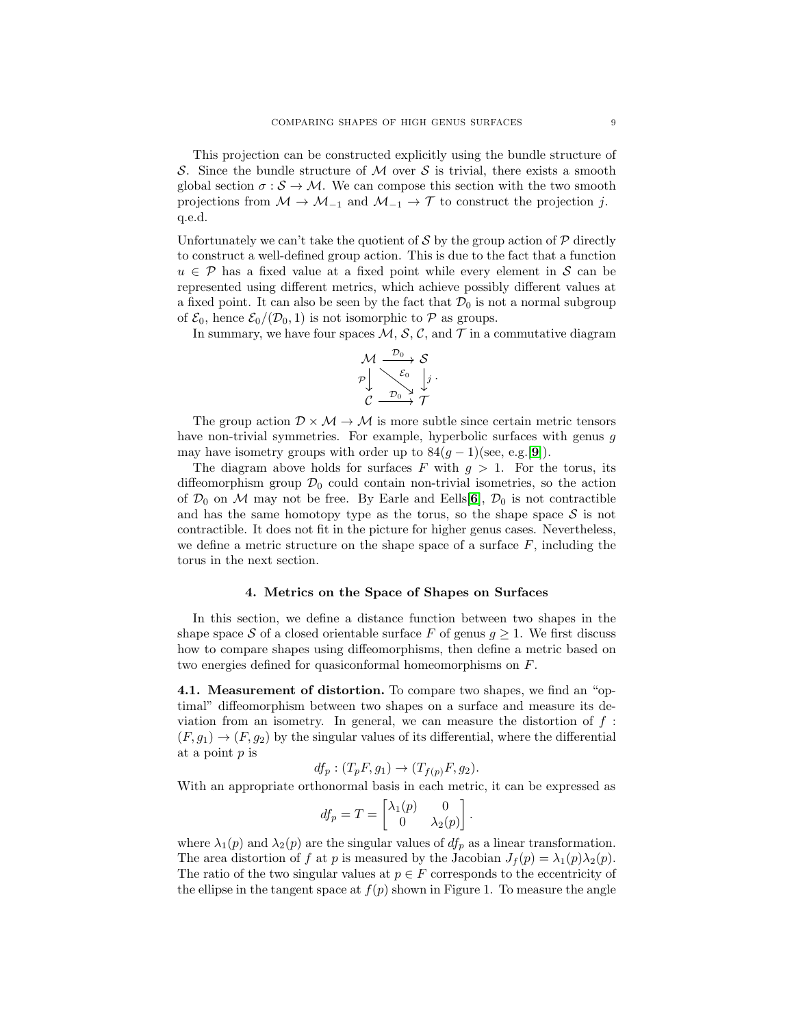This projection can be constructed explicitly using the bundle structure of S. Since the bundle structure of M over S is trivial, there exists a smooth global section  $\sigma : \mathcal{S} \to \mathcal{M}$ . We can compose this section with the two smooth projections from  $M \to M_{-1}$  and  $M_{-1} \to \mathcal{T}$  to construct the projection j. q.e.d.

Unfortunately we can't take the quotient of  $S$  by the group action of  $P$  directly to construct a well-defined group action. This is due to the fact that a function  $u \in \mathcal{P}$  has a fixed value at a fixed point while every element in S can be represented using different metrics, which achieve possibly different values at a fixed point. It can also be seen by the fact that  $\mathcal{D}_0$  is not a normal subgroup of  $\mathcal{E}_0$ , hence  $\mathcal{E}_0/(\mathcal{D}_0, 1)$  is not isomorphic to  $\mathcal P$  as groups.

In summary, we have four spaces  $M$ ,  $S$ ,  $C$ , and  $T$  in a commutative diagram

$$
\begin{array}{ccc}\nM & \xrightarrow{\mathcal{D}_0} & \mathcal{S} \\
\mathcal{P} & \searrow & \downarrow \\
\mathcal{E} & \xrightarrow{\mathcal{E}_0} & \downarrow \\
\mathcal{C} & \xrightarrow{\mathcal{D}_0} & \mathcal{T}\n\end{array}
$$

The group action  $\mathcal{D} \times \mathcal{M} \rightarrow \mathcal{M}$  is more subtle since certain metric tensors have non-trivial symmetries. For example, hyperbolic surfaces with genus q may have isometry groups with order up to  $84(g-1)(\text{see, e.g.}[\mathbf{9}]).$  $84(g-1)(\text{see, e.g.}[\mathbf{9}]).$  $84(g-1)(\text{see, e.g.}[\mathbf{9}]).$ 

The diagram above holds for surfaces F with  $g > 1$ . For the torus, its diffeomorphism group  $\mathcal{D}_0$  could contain non-trivial isometries, so the action of  $\mathcal{D}_0$  on M may not be free. By Earle and Eells[[6](#page-17-15)],  $\mathcal{D}_0$  is not contractible and has the same homotopy type as the torus, so the shape space  $S$  is not contractible. It does not fit in the picture for higher genus cases. Nevertheless, we define a metric structure on the shape space of a surface  $F$ , including the torus in the next section.

## 4. Metrics on the Space of Shapes on Surfaces

In this section, we define a distance function between two shapes in the shape space S of a closed orientable surface F of genus  $g \geq 1$ . We first discuss how to compare shapes using diffeomorphisms, then define a metric based on two energies defined for quasiconformal homeomorphisms on F.

4.1. Measurement of distortion. To compare two shapes, we find an "optimal" diffeomorphism between two shapes on a surface and measure its deviation from an isometry. In general, we can measure the distortion of  $f$ :  $(F, g_1) \rightarrow (F, g_2)$  by the singular values of its differential, where the differential at a point p is

$$
df_p: (T_pF, g_1) \to (T_{f(p)}F, g_2).
$$

With an appropriate orthonormal basis in each metric, it can be expressed as

$$
df_p = T = \begin{bmatrix} \lambda_1(p) & 0 \\ 0 & \lambda_2(p) \end{bmatrix}.
$$

where  $\lambda_1(p)$  and  $\lambda_2(p)$  are the singular values of  $df_p$  as a linear transformation. The area distortion of f at p is measured by the Jacobian  $J_f(p) = \lambda_1(p)\lambda_2(p)$ . The ratio of the two singular values at  $p \in F$  corresponds to the eccentricity of the ellipse in the tangent space at  $f(p)$  shown in Figure 1. To measure the angle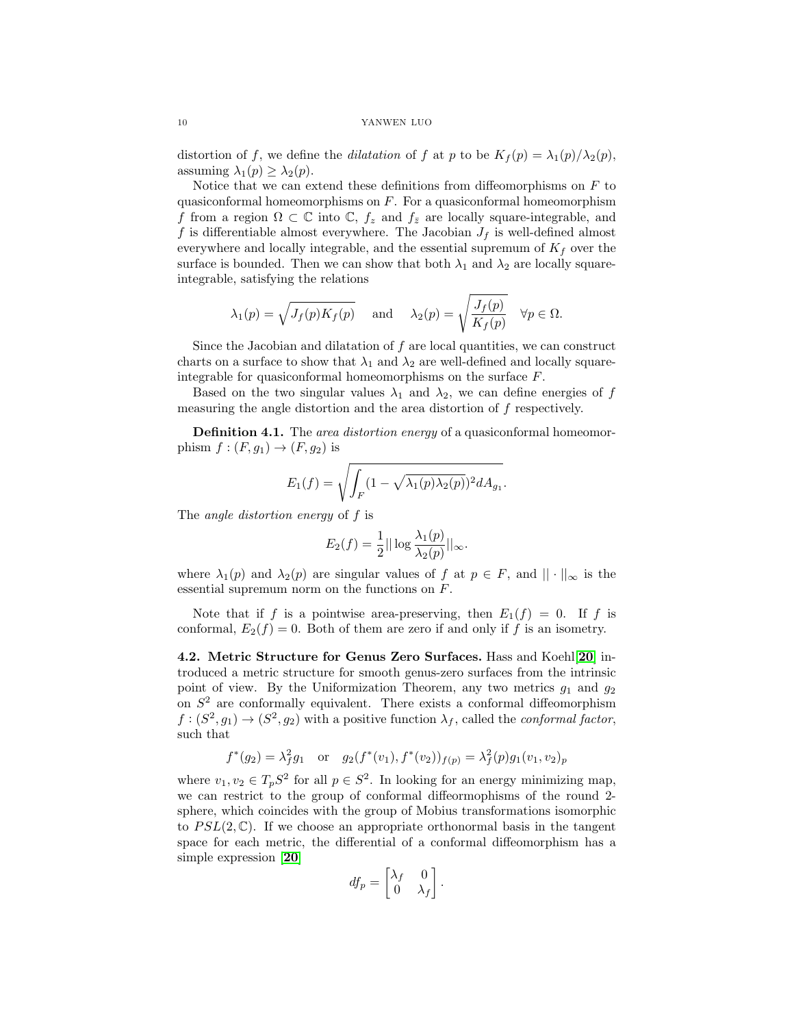distortion of f, we define the dilatation of f at p to be  $K_f(p) = \lambda_1(p)/\lambda_2(p)$ , assuming  $\lambda_1(p) \geq \lambda_2(p)$ .

Notice that we can extend these definitions from diffeomorphisms on  $F$  to quasiconformal homeomorphisms on  $F$ . For a quasiconformal homeomorphism f from a region  $\Omega \subset \mathbb{C}$  into  $\mathbb{C}$ ,  $f_z$  and  $f_{\bar{z}}$  are locally square-integrable, and f is differentiable almost everywhere. The Jacobian  $J_f$  is well-defined almost everywhere and locally integrable, and the essential supremum of  $K_f$  over the surface is bounded. Then we can show that both  $\lambda_1$  and  $\lambda_2$  are locally squareintegrable, satisfying the relations

$$
\lambda_1(p) = \sqrt{J_f(p)K_f(p)}
$$
 and  $\lambda_2(p) = \sqrt{\frac{J_f(p)}{K_f(p)}}$   $\forall p \in \Omega.$ 

Since the Jacobian and dilatation of  $f$  are local quantities, we can construct charts on a surface to show that  $\lambda_1$  and  $\lambda_2$  are well-defined and locally squareintegrable for quasiconformal homeomorphisms on the surface  $F$ .

Based on the two singular values  $\lambda_1$  and  $\lambda_2$ , we can define energies of f measuring the angle distortion and the area distortion of f respectively.

**Definition 4.1.** The *area distortion energy* of a quasiconformal homeomorphism  $f:(F,g_1)\to (F,g_2)$  is

$$
E_1(f) = \sqrt{\int_F (1 - \sqrt{\lambda_1(p)\lambda_2(p)})^2 dA_{g_1}}.
$$

The angle distortion energy of f is

$$
E_2(f) = \frac{1}{2} || \log \frac{\lambda_1(p)}{\lambda_2(p)} ||_{\infty}.
$$

where  $\lambda_1(p)$  and  $\lambda_2(p)$  are singular values of f at  $p \in F$ , and  $|| \cdot ||_{\infty}$  is the essential supremum norm on the functions on F.

Note that if f is a pointwise area-preserving, then  $E_1(f) = 0$ . If f is conformal,  $E_2(f) = 0$ . Both of them are zero if and only if f is an isometry.

4.2. Metric Structure for Genus Zero Surfaces. Hass and Koehl[[20](#page-17-2)] introduced a metric structure for smooth genus-zero surfaces from the intrinsic point of view. By the Uniformization Theorem, any two metrics  $g_1$  and  $g_2$ on  $S<sup>2</sup>$  are conformally equivalent. There exists a conformal diffeomorphism  $f:(S^2,g_1)\to (S^2,g_2)$  with a positive function  $\lambda_f$ , called the *conformal factor*, such that

$$
f^*(g_2) = \lambda_f^2 g_1
$$
 or  $g_2(f^*(v_1), f^*(v_2))_{f(p)} = \lambda_f^2(p)g_1(v_1, v_2)_p$ 

where  $v_1, v_2 \in T_p S^2$  for all  $p \in S^2$ . In looking for an energy minimizing map, we can restrict to the group of conformal diffeormophisms of the round 2 sphere, which coincides with the group of Mobius transformations isomorphic to  $PSL(2,\mathbb{C})$ . If we choose an appropriate orthonormal basis in the tangent space for each metric, the differential of a conformal diffeomorphism has a simple expression [[20](#page-17-2)]

$$
df_p = \begin{bmatrix} \lambda_f & 0 \\ 0 & \lambda_f \end{bmatrix}.
$$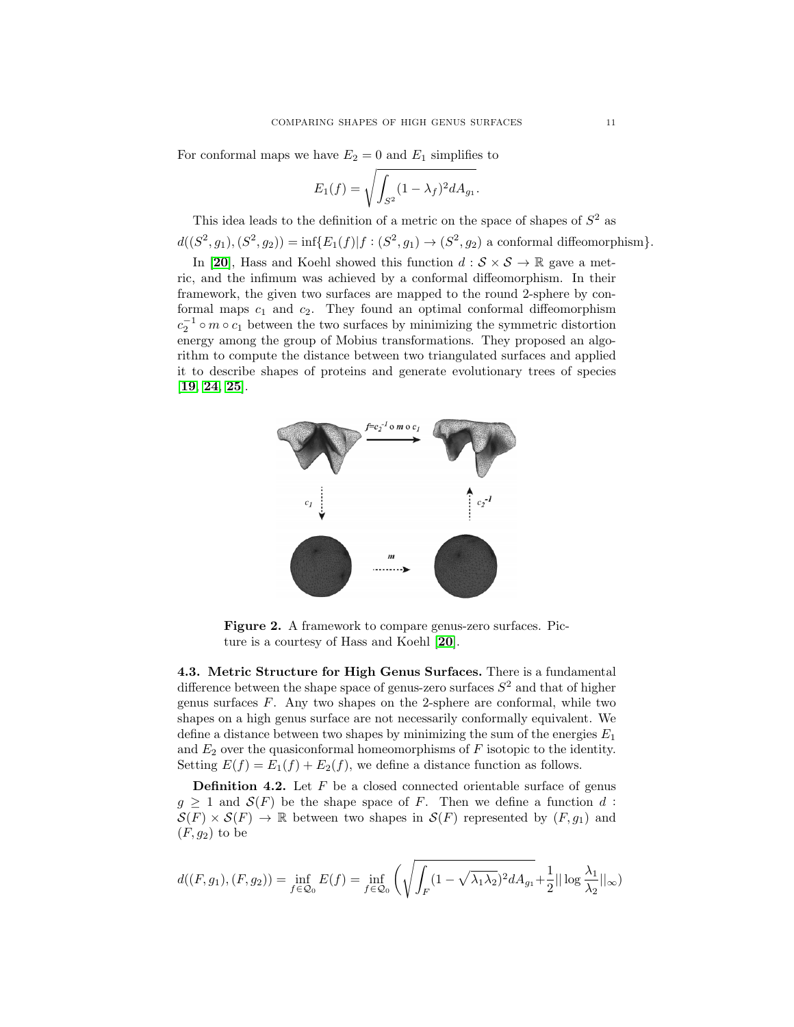For conformal maps we have  $E_2 = 0$  and  $E_1$  simplifies to

$$
E_1(f) = \sqrt{\int_{S^2} (1 - \lambda_f)^2 dA_{g_1}}.
$$

This idea leads to the definition of a metric on the space of shapes of  $S^2$  as  $d((S^2, g_1), (S^2, g_2)) = \inf \{E_1(f) | f : (S^2, g_1) \to (S^2, g_2) \text{ a conformal diffeomorphism}\}.$ 

In [[20](#page-17-2)], Hass and Koehl showed this function  $d : \mathcal{S} \times \mathcal{S} \to \mathbb{R}$  gave a metric, and the infimum was achieved by a conformal diffeomorphism. In their framework, the given two surfaces are mapped to the round 2-sphere by conformal maps  $c_1$  and  $c_2$ . They found an optimal conformal diffeomorphism  $c_2^{-1}$  ∘ m ∘  $c_1$  between the two surfaces by minimizing the symmetric distortion energy among the group of Mobius transformations. They proposed an algorithm to compute the distance between two triangulated surfaces and applied it to describe shapes of proteins and generate evolutionary trees of species [[19](#page-17-18), [24](#page-18-17), [25](#page-18-18)].



Figure 2. A framework to compare genus-zero surfaces. Picture is a courtesy of Hass and Koehl [[20](#page-17-2)].

4.3. Metric Structure for High Genus Surfaces. There is a fundamental difference between the shape space of genus-zero surfaces  $S^2$  and that of higher genus surfaces  $F$ . Any two shapes on the 2-sphere are conformal, while two shapes on a high genus surface are not necessarily conformally equivalent. We define a distance between two shapes by minimizing the sum of the energies  $E_1$ and  $E_2$  over the quasiconformal homeomorphisms of  $F$  isotopic to the identity. Setting  $E(f) = E_1(f) + E_2(f)$ , we define a distance function as follows.

**Definition 4.2.** Let  $F$  be a closed connected orientable surface of genus  $g \geq 1$  and  $\mathcal{S}(F)$  be the shape space of F. Then we define a function d:  $\mathcal{S}(F) \times \mathcal{S}(F) \to \mathbb{R}$  between two shapes in  $\mathcal{S}(F)$  represented by  $(F, g_1)$  and  $(F, g_2)$  to be

$$
d((F, g_1), (F, g_2)) = \inf_{f \in \mathcal{Q}_0} E(f) = \inf_{f \in \mathcal{Q}_0} \left( \sqrt{\int_F (1 - \sqrt{\lambda_1 \lambda_2})^2 dA_{g_1}} + \frac{1}{2} ||\log \frac{\lambda_1}{\lambda_2}||_{\infty} \right)
$$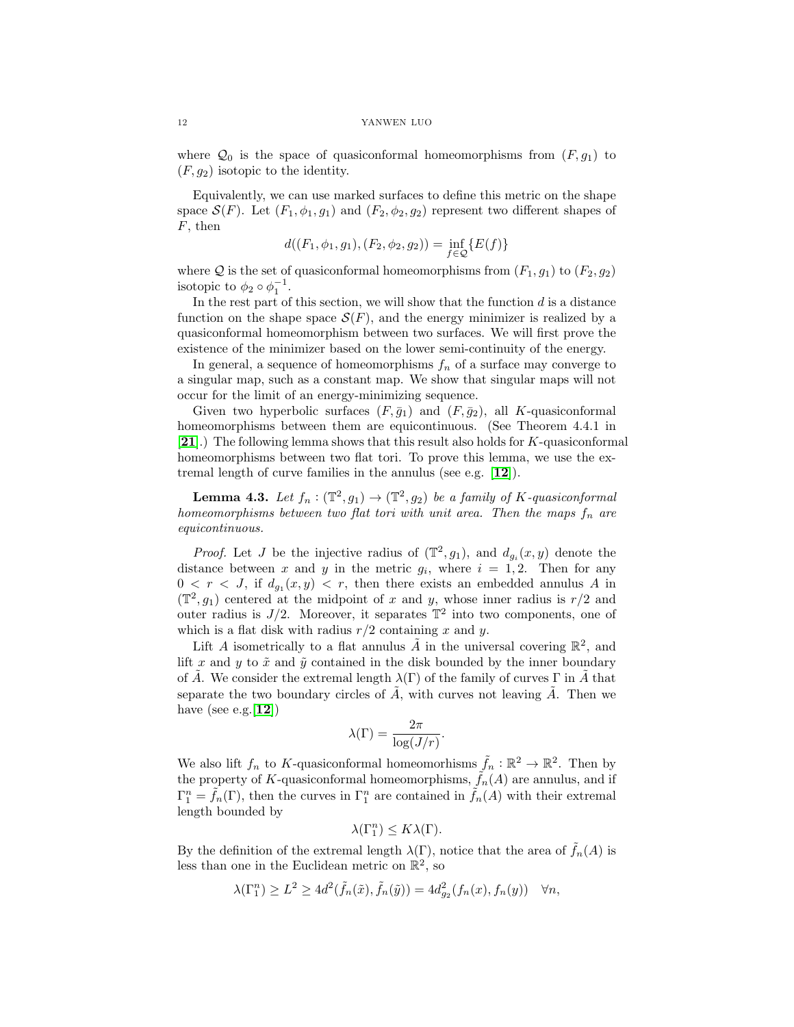where  $\mathcal{Q}_0$  is the space of quasiconformal homeomorphisms from  $(F, g_1)$  to  $(F, g_2)$  isotopic to the identity.

Equivalently, we can use marked surfaces to define this metric on the shape space  $\mathcal{S}(F)$ . Let  $(F_1, \phi_1, g_1)$  and  $(F_2, \phi_2, g_2)$  represent two different shapes of  $F$ , then

$$
d((F_1, \phi_1, g_1), (F_2, \phi_2, g_2)) = \inf_{f \in \mathcal{Q}} \{E(f)\}
$$

where Q is the set of quasiconformal homeomorphisms from  $(F_1, g_1)$  to  $(F_2, g_2)$ isotopic to  $\phi_2 \circ \phi_1^{-1}$ .

In the rest part of this section, we will show that the function  $d$  is a distance function on the shape space  $\mathcal{S}(F)$ , and the energy minimizer is realized by a quasiconformal homeomorphism between two surfaces. We will first prove the existence of the minimizer based on the lower semi-continuity of the energy.

In general, a sequence of homeomorphisms  $f_n$  of a surface may converge to a singular map, such as a constant map. We show that singular maps will not occur for the limit of an energy-minimizing sequence.

Given two hyperbolic surfaces  $(F, \bar{g}_1)$  and  $(F, \bar{g}_2)$ , all K-quasiconformal homeomorphisms between them are equicontinuous. (See Theorem 4.4.1 in [[21](#page-17-19)].) The following lemma shows that this result also holds for K-quasiconformal homeomorphisms between two flat tori. To prove this lemma, we use the extremal length of curve families in the annulus (see e.g. [[12](#page-17-20)]).

**Lemma 4.3.** Let  $f_n : (\mathbb{T}^2, g_1) \to (\mathbb{T}^2, g_2)$  be a family of K-quasiconformal homeomorphisms between two flat tori with unit area. Then the maps  $f_n$  are equicontinuous.

*Proof.* Let J be the injective radius of  $(\mathbb{T}^2, g_1)$ , and  $d_{g_i}(x, y)$  denote the distance between x and y in the metric  $g_i$ , where  $i = 1, 2$ . Then for any  $0 < r < J$ , if  $d_{g_1}(x, y) < r$ , then there exists an embedded annulus A in  $(\mathbb{T}^2, g_1)$  centered at the midpoint of x and y, whose inner radius is  $r/2$  and outer radius is  $J/2$ . Moreover, it separates  $\mathbb{T}^2$  into two components, one of which is a flat disk with radius  $r/2$  containing x and y.

Lift A isometrically to a flat annulus  $\tilde{A}$  in the universal covering  $\mathbb{R}^2$ , and lift x and y to  $\tilde{x}$  and  $\tilde{y}$  contained in the disk bounded by the inner boundary of A. We consider the extremal length  $\lambda(\Gamma)$  of the family of curves  $\Gamma$  in A that separate the two boundary circles of  $\tilde{A}$ , with curves not leaving  $\tilde{A}$ . Then we have (see e.g.  $[12]$  $[12]$  $[12]$ )

$$
\lambda(\Gamma) = \frac{2\pi}{\log(J/r)}.
$$

We also lift  $f_n$  to K-quasiconformal homeomorhisms  $\tilde{f}_n : \mathbb{R}^2 \to \mathbb{R}^2$ . Then by the property of K-quasiconformal homeomorphisms,  $\tilde{f}_n(A)$  are annulus, and if  $\Gamma_1^n = \tilde{f}_n(\Gamma)$ , then the curves in  $\Gamma_1^n$  are contained in  $\tilde{f}_n(A)$  with their extremal length bounded by

$$
\lambda(\Gamma_1^n) \leq K \lambda(\Gamma).
$$

By the definition of the extremal length  $\lambda(\Gamma)$ , notice that the area of  $\tilde{f}_n(A)$  is less than one in the Euclidean metric on  $\mathbb{R}^2$ , so

$$
\lambda(\Gamma_1^n) \ge L^2 \ge 4d^2(\tilde{f}_n(\tilde{x}), \tilde{f}_n(\tilde{y})) = 4d_{g_2}^2(f_n(x), f_n(y)) \quad \forall n,
$$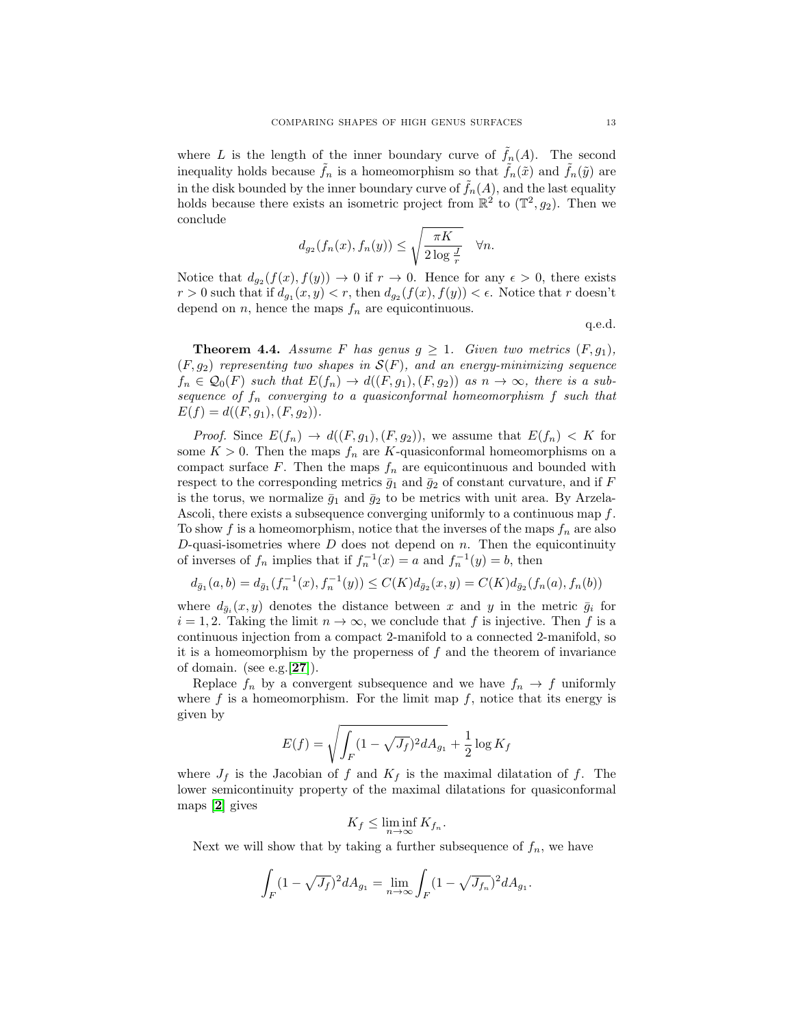where L is the length of the inner boundary curve of  $\tilde{f}_n(A)$ . The second inequality holds because  $\tilde{f}_n$  is a homeomorphism so that  $\tilde{f}_n(\tilde{x})$  and  $f_n(\tilde{y})$  are in the disk bounded by the inner boundary curve of  $f_n(A)$ , and the last equality holds because there exists an isometric project from  $\mathbb{R}^2$  to  $(\mathbb{T}^2, g_2)$ . Then we conclude

$$
d_{g_2}(f_n(x), f_n(y)) \le \sqrt{\frac{\pi K}{2 \log \frac{J}{r}}} \quad \forall n.
$$

Notice that  $d_{g_2}(f(x), f(y)) \to 0$  if  $r \to 0$ . Hence for any  $\epsilon > 0$ , there exists  $r > 0$  such that if  $d_{g_1}(x, y) < r$ , then  $d_{g_2}(f(x), f(y)) < \epsilon$ . Notice that r doesn't depend on  $n$ , hence the maps  $f_n$  are equicontinuous.

q.e.d.

**Theorem 4.4.** Assume F has genus  $g \geq 1$ . Given two metrics  $(F, g_1)$ ,  $(F, q_2)$  representing two shapes in  $\mathcal{S}(F)$ , and an energy-minimizing sequence  $f_n \in \mathcal{Q}_0(F)$  such that  $E(f_n) \to d((F, g_1), (F, g_2))$  as  $n \to \infty$ , there is a subsequence of  $f_n$  converging to a quasiconformal homeomorphism  $f$  such that  $E(f) = d((F, g_1), (F, g_2)).$ 

*Proof.* Since  $E(f_n) \to d((F, g_1), (F, g_2))$ , we assume that  $E(f_n) < K$  for some  $K > 0$ . Then the maps  $f_n$  are K-quasiconformal homeomorphisms on a compact surface F. Then the maps  $f_n$  are equicontinuous and bounded with respect to the corresponding metrics  $\bar{g}_1$  and  $\bar{g}_2$  of constant curvature, and if F is the torus, we normalize  $\bar{g}_1$  and  $\bar{g}_2$  to be metrics with unit area. By Arzela-Ascoli, there exists a subsequence converging uniformly to a continuous map f. To show f is a homeomorphism, notice that the inverses of the maps  $f_n$  are also D-quasi-isometries where  $D$  does not depend on  $n$ . Then the equicontinuity of inverses of  $f_n$  implies that if  $f_n^{-1}(x) = a$  and  $f_n^{-1}(y) = b$ , then

$$
d_{\bar{g}_1}(a,b) = d_{\bar{g}_1}(f_n^{-1}(x), f_n^{-1}(y)) \le C(K) d_{\bar{g}_2}(x,y) = C(K) d_{\bar{g}_2}(f_n(a), f_n(b))
$$

where  $d_{\bar{g}_i}(x, y)$  denotes the distance between x and y in the metric  $\bar{g}_i$  for  $i = 1, 2$ . Taking the limit  $n \to \infty$ , we conclude that f is injective. Then f is a continuous injection from a compact 2-manifold to a connected 2-manifold, so it is a homeomorphism by the properness of  $f$  and the theorem of invariance of domain. (see e.g.  $[27]$  $[27]$  $[27]$ ).

Replace  $f_n$  by a convergent subsequence and we have  $f_n \to f$  uniformly where  $f$  is a homeomorphism. For the limit map  $f$ , notice that its energy is given by

$$
E(f) = \sqrt{\int_F (1 - \sqrt{J_f})^2 dA_{g_1}} + \frac{1}{2} \log K_f
$$

where  $J_f$  is the Jacobian of f and  $K_f$  is the maximal dilatation of f. The lower semicontinuity property of the maximal dilatations for quasiconformal maps [[2](#page-16-1)] gives

$$
K_f \le \liminf_{n \to \infty} K_{f_n}.
$$

Next we will show that by taking a further subsequence of  $f_n$ , we have

$$
\int_F (1 - \sqrt{J_f})^2 dA_{g_1} = \lim_{n \to \infty} \int_F (1 - \sqrt{J_{f_n}})^2 dA_{g_1}.
$$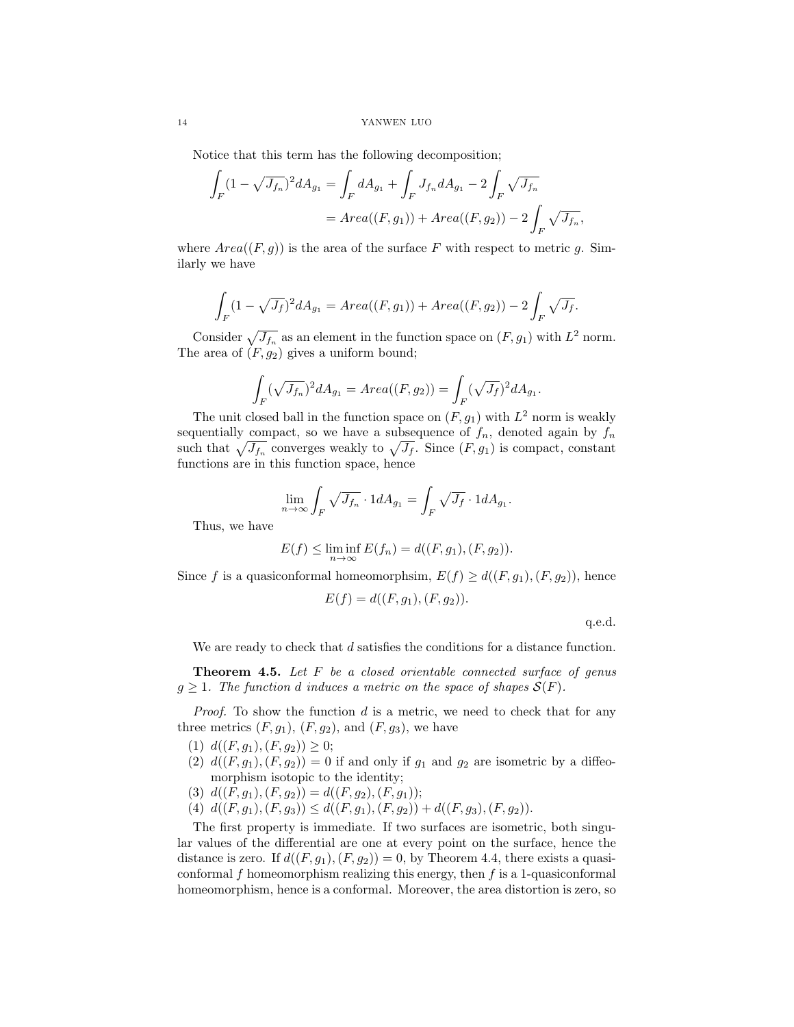Notice that this term has the following decomposition;

$$
\int_{F} (1 - \sqrt{J_{f_n}})^2 dA_{g_1} = \int_{F} dA_{g_1} + \int_{F} J_{f_n} dA_{g_1} - 2 \int_{F} \sqrt{J_{f_n}}
$$
  
= Area((F, g\_1)) + Area((F, g\_2)) - 2 \int\_{F} \sqrt{J\_{f\_n}},

where  $Area((F, g))$  is the area of the surface F with respect to metric g. Similarly we have

$$
\int_F (1 - \sqrt{J_f})^2 dA_{g_1} = Area((F, g_1)) + Area((F, g_2)) - 2 \int_F \sqrt{J_f}.
$$

Consider  $\sqrt{J_{f_n}}$  as an element in the function space on  $(F, g_1)$  with  $L^2$  norm. The area of  $(F, g_2)$  gives a uniform bound;

$$
\int_{F} (\sqrt{J_{f_n}})^2 dA_{g_1} = Area((F, g_2)) = \int_{F} (\sqrt{J_f})^2 dA_{g_1}
$$

The unit closed ball in the function space on  $(F, g_1)$  with  $L^2$  norm is weakly sequentially compact, so we have a subsequence of  $f_n$ , denoted again by  $f_n$ such that  $\sqrt{J_{f_n}}$  converges weakly to  $\sqrt{J_f}$ . Since  $(F, g_1)$  is compact, constant functions are in this function space, hence

$$
\lim_{n \to \infty} \int_F \sqrt{J_{f_n}} \cdot 1 dA_{g_1} = \int_F \sqrt{J_f} \cdot 1 dA_{g_1}.
$$

Thus, we have

$$
E(f) \le \liminf_{n \to \infty} E(f_n) = d((F, g_1), (F, g_2)).
$$

Since f is a quasiconformal homeomorphsim,  $E(f) \geq d((F, g_1), (F, g_2))$ , hence

$$
E(f) = d((F, g_1), (F, g_2)).
$$

q.e.d.

.

We are ready to check that d satisfies the conditions for a distance function.

**Theorem 4.5.** Let  $F$  be a closed orientable connected surface of genus  $g \geq 1$ . The function d induces a metric on the space of shapes  $\mathcal{S}(F)$ .

*Proof.* To show the function  $d$  is a metric, we need to check that for any three metrics  $(F, g_1)$ ,  $(F, g_2)$ , and  $(F, g_3)$ , we have

- (1)  $d((F, g_1), (F, g_2)) \geq 0;$
- (2)  $d((F, g_1), (F, g_2)) = 0$  if and only if  $g_1$  and  $g_2$  are isometric by a diffeomorphism isotopic to the identity;
- (3)  $d((F, g_1), (F, g_2)) = d((F, g_2), (F, g_1));$
- (4)  $d((F, g_1), (F, g_3)) \leq d((F, g_1), (F, g_2)) + d((F, g_3), (F, g_2)).$

The first property is immediate. If two surfaces are isometric, both singular values of the differential are one at every point on the surface, hence the distance is zero. If  $d((F, g_1), (F, g_2)) = 0$ , by Theorem 4.4, there exists a quasiconformal  $f$  homeomorphism realizing this energy, then  $f$  is a 1-quasiconformal homeomorphism, hence is a conformal. Moreover, the area distortion is zero, so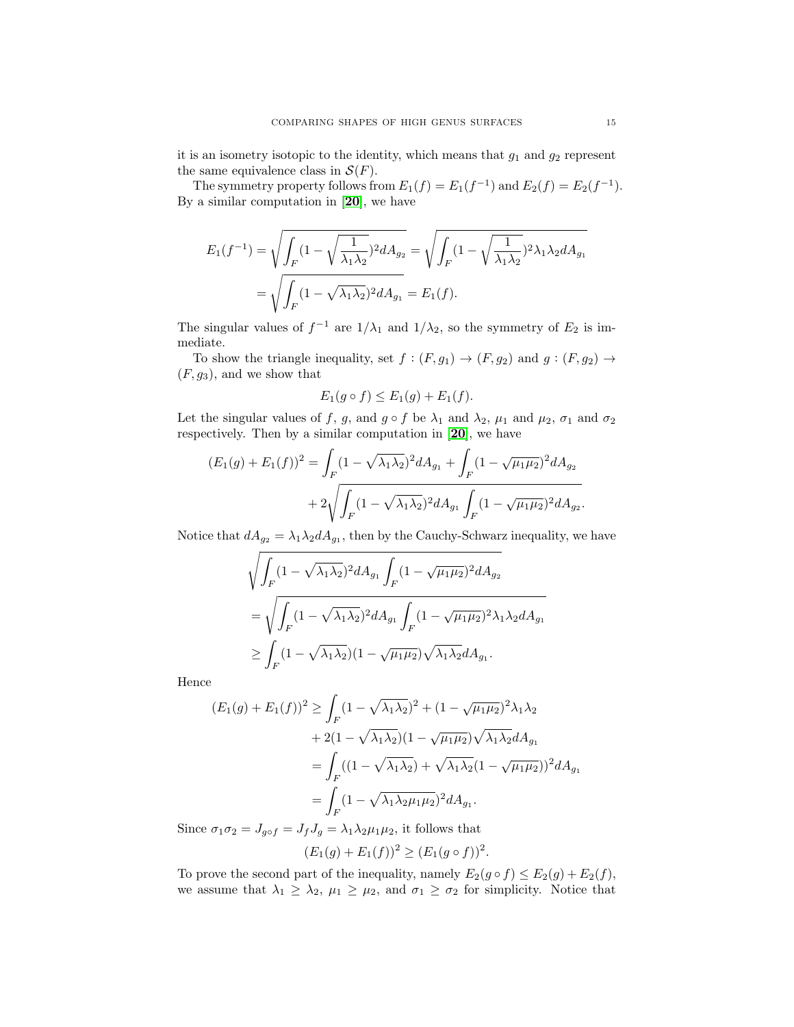it is an isometry isotopic to the identity, which means that  $g_1$  and  $g_2$  represent the same equivalence class in  $\mathcal{S}(F)$ .

The symmetry property follows from  $E_1(f) = E_1(f^{-1})$  and  $E_2(f) = E_2(f^{-1})$ . By a similar computation in  $[20]$  $[20]$  $[20]$ , we have

$$
E_1(f^{-1}) = \sqrt{\int_F (1 - \sqrt{\frac{1}{\lambda_1 \lambda_2}})^2 dA_{g_2}} = \sqrt{\int_F (1 - \sqrt{\frac{1}{\lambda_1 \lambda_2}})^2 \lambda_1 \lambda_2 dA_{g_1}}
$$
  
=  $\sqrt{\int_F (1 - \sqrt{\lambda_1 \lambda_2})^2 dA_{g_1}} = E_1(f).$ 

The singular values of  $f^{-1}$  are  $1/\lambda_1$  and  $1/\lambda_2$ , so the symmetry of  $E_2$  is immediate.

To show the triangle inequality, set  $f : (F, g_1) \to (F, g_2)$  and  $g : (F, g_2) \to$  $(F, g_3)$ , and we show that

$$
E_1(g \circ f) \le E_1(g) + E_1(f).
$$

Let the singular values of f, g, and  $g \circ f$  be  $\lambda_1$  and  $\lambda_2$ ,  $\mu_1$  and  $\mu_2$ ,  $\sigma_1$  and  $\sigma_2$ respectively. Then by a similar computation in [[20](#page-17-2)], we have

$$
(E_1(g) + E_1(f))^2 = \int_F (1 - \sqrt{\lambda_1 \lambda_2})^2 dA_{g_1} + \int_F (1 - \sqrt{\mu_1 \mu_2})^2 dA_{g_2}
$$

$$
+ 2\sqrt{\int_F (1 - \sqrt{\lambda_1 \lambda_2})^2 dA_{g_1} \int_F (1 - \sqrt{\mu_1 \mu_2})^2 dA_{g_2}}.
$$

Notice that  $dA_{g_2} = \lambda_1 \lambda_2 dA_{g_1}$ , then by the Cauchy-Schwarz inequality, we have

$$
\sqrt{\int_F (1 - \sqrt{\lambda_1 \lambda_2})^2 dA_{g_1} \int_F (1 - \sqrt{\mu_1 \mu_2})^2 dA_{g_2}}
$$
  
= 
$$
\sqrt{\int_F (1 - \sqrt{\lambda_1 \lambda_2})^2 dA_{g_1} \int_F (1 - \sqrt{\mu_1 \mu_2})^2 \lambda_1 \lambda_2 dA_{g_1}}
$$
  

$$
\ge \int_F (1 - \sqrt{\lambda_1 \lambda_2}) (1 - \sqrt{\mu_1 \mu_2}) \sqrt{\lambda_1 \lambda_2} dA_{g_1}.
$$

Hence

$$
(E_1(g) + E_1(f))^2 \ge \int_F (1 - \sqrt{\lambda_1 \lambda_2})^2 + (1 - \sqrt{\mu_1 \mu_2})^2 \lambda_1 \lambda_2
$$
  
+ 2(1 - \sqrt{\lambda\_1 \lambda\_2})(1 - \sqrt{\mu\_1 \mu\_2}) \sqrt{\lambda\_1 \lambda\_2} dA\_{g\_1}  
= 
$$
\int_F ((1 - \sqrt{\lambda_1 \lambda_2}) + \sqrt{\lambda_1 \lambda_2} (1 - \sqrt{\mu_1 \mu_2}))^2 dA_{g_1}
$$
  
= 
$$
\int_F (1 - \sqrt{\lambda_1 \lambda_2 \mu_1 \mu_2})^2 dA_{g_1}.
$$

Since  $\sigma_1\sigma_2=J_{g\circ f}=J_fJ_g=\lambda_1\lambda_2\mu_1\mu_2,$  it follows that

$$
(E_1(g) + E_1(f))^2 \ge (E_1(g \circ f))^2.
$$

To prove the second part of the inequality, namely  $E_2(g \circ f) \leq E_2(g) + E_2(f)$ , we assume that  $\lambda_1 \geq \lambda_2$ ,  $\mu_1 \geq \mu_2$ , and  $\sigma_1 \geq \sigma_2$  for simplicity. Notice that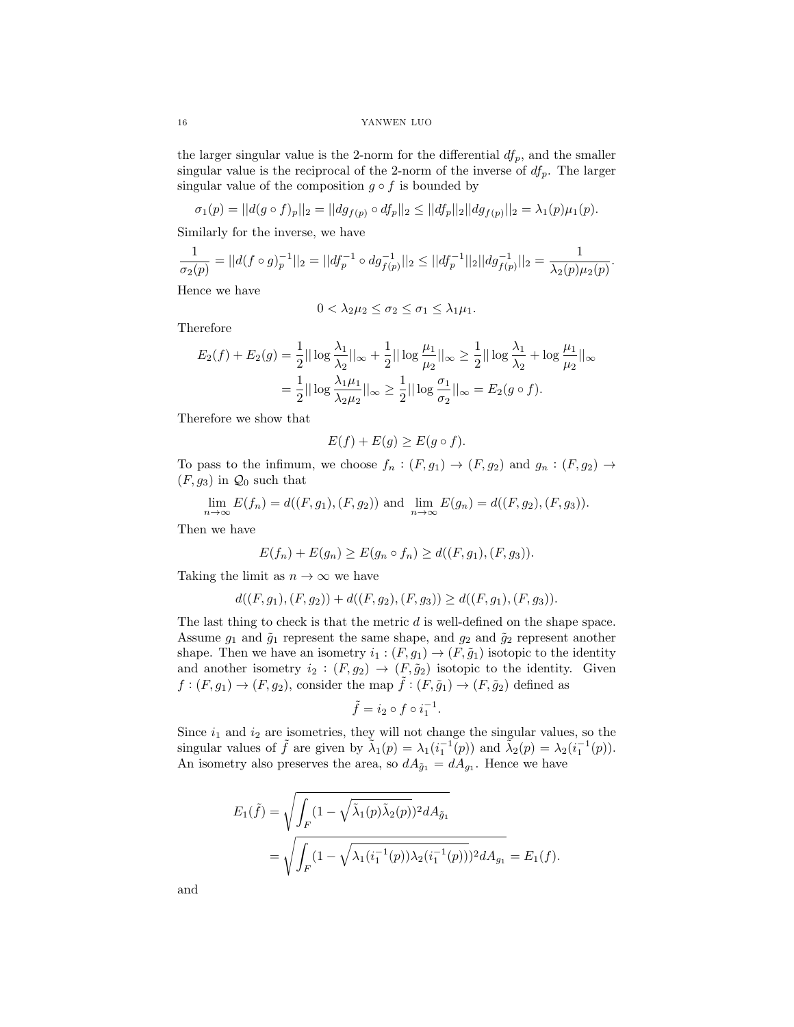the larger singular value is the 2-norm for the differential  $df_p$ , and the smaller singular value is the reciprocal of the 2-norm of the inverse of  $df_p$ . The larger singular value of the composition  $g \circ f$  is bounded by

$$
\sigma_1(p) = ||d(g \circ f)_p||_2 = ||dg_{f(p)} \circ df_p||_2 \le ||df_p||_2 ||dg_{f(p)}||_2 = \lambda_1(p)\mu_1(p).
$$

Similarly for the inverse, we have

$$
\frac{1}{\sigma_2(p)}=||d(f\circ g)_p^{-1}||_2=||df_p^{-1}\circ dg_{f(p)}^{-1}||_2\leq ||df_p^{-1}||_2||dg_{f(p)}^{-1}||_2=\frac{1}{\lambda_2(p)\mu_2(p)}.
$$

Hence we have

$$
0 < \lambda_2 \mu_2 \le \sigma_2 \le \sigma_1 \le \lambda_1 \mu_1.
$$

Therefore

$$
E_2(f) + E_2(g) = \frac{1}{2} ||\log \frac{\lambda_1}{\lambda_2}||_{\infty} + \frac{1}{2} ||\log \frac{\mu_1}{\mu_2}||_{\infty} \ge \frac{1}{2} ||\log \frac{\lambda_1}{\lambda_2} + \log \frac{\mu_1}{\mu_2}||_{\infty}
$$
  
=  $\frac{1}{2} ||\log \frac{\lambda_1 \mu_1}{\lambda_2 \mu_2}||_{\infty} \ge \frac{1}{2} ||\log \frac{\sigma_1}{\sigma_2}||_{\infty} = E_2(g \circ f).$ 

Therefore we show that

$$
E(f) + E(g) \ge E(g \circ f).
$$

To pass to the infimum, we choose  $f_n : (F, g_1) \to (F, g_2)$  and  $g_n : (F, g_2) \to$  $(F, g_3)$  in  $\mathcal{Q}_0$  such that

$$
\lim_{n \to \infty} E(f_n) = d((F, g_1), (F, g_2)) \text{ and } \lim_{n \to \infty} E(g_n) = d((F, g_2), (F, g_3)).
$$

Then we have

$$
E(f_n) + E(g_n) \ge E(g_n \circ f_n) \ge d((F, g_1), (F, g_3)).
$$

Taking the limit as  $n \to \infty$  we have

$$
d((F, g_1), (F, g_2)) + d((F, g_2), (F, g_3)) \ge d((F, g_1), (F, g_3)).
$$

The last thing to check is that the metric d is well-defined on the shape space. Assume  $g_1$  and  $\tilde{g}_1$  represent the same shape, and  $g_2$  and  $\tilde{g}_2$  represent another shape. Then we have an isometry  $i_1 : (F, g_1) \to (F, \tilde{g}_1)$  isotopic to the identity and another isometry  $i_2 : (F, g_2) \rightarrow (F, \tilde{g}_2)$  isotopic to the identity. Given  $f:(F, g_1) \to (F, g_2)$ , consider the map  $\tilde{f}:(F, \tilde{g}_1) \to (F, \tilde{g}_2)$  defined as

$$
\tilde{f} = i_2 \circ f \circ i_1^{-1}.
$$

Since  $i_1$  and  $i_2$  are isometries, they will not change the singular values, so the singular values of  $\tilde{f}$  are given by  $\tilde{\lambda}_1(p) = \lambda_1(i_1^{-1}(p))$  and  $\tilde{\lambda}_2(p) = \lambda_2(i_1^{-1}(p)).$ An isometry also preserves the area, so  $dA_{\tilde{g}_1} = dA_{g_1}$ . Hence we have

$$
E_1(\tilde{f}) = \sqrt{\int_F (1 - \sqrt{\tilde{\lambda}_1(p)\tilde{\lambda}_2(p)})^2 dA_{\tilde{g}_1}}
$$
  
= 
$$
\sqrt{\int_F (1 - \sqrt{\lambda_1(i_1^{-1}(p))\lambda_2(i_1^{-1}(p))})^2 dA_{g_1}} = E_1(f).
$$

and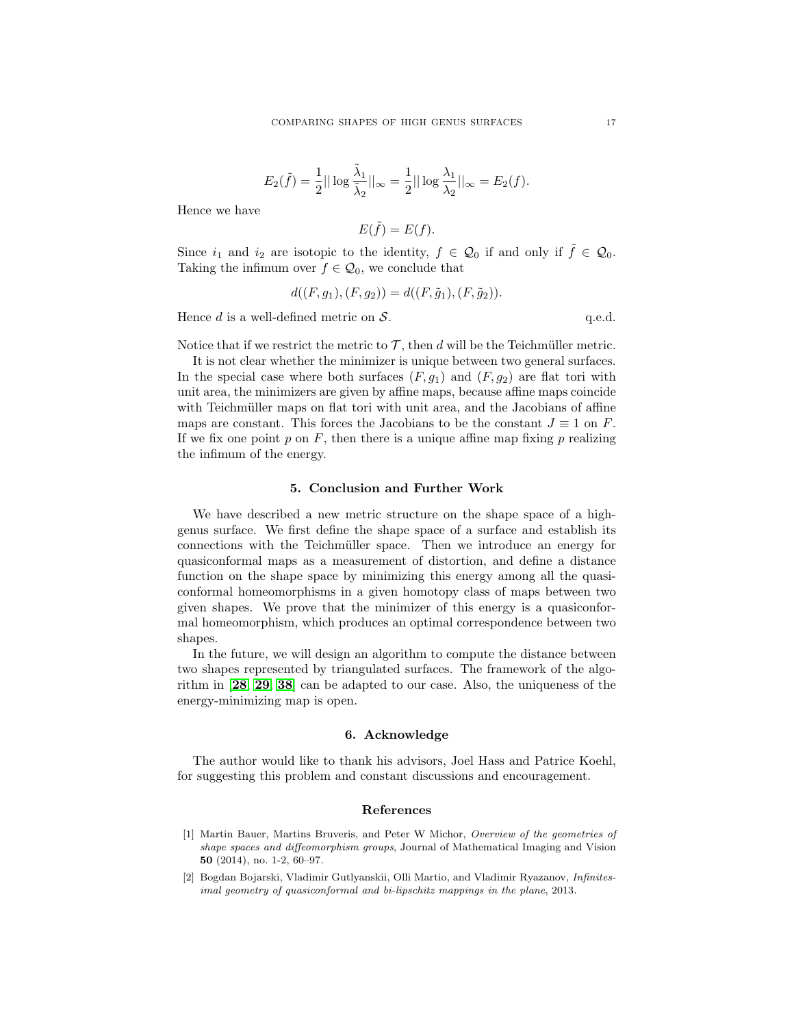$$
E_2(\tilde{f}) = \frac{1}{2} || \log \frac{\tilde{\lambda}_1}{\tilde{\lambda}_2} ||_{\infty} = \frac{1}{2} || \log \frac{\lambda_1}{\lambda_2} ||_{\infty} = E_2(f).
$$

Hence we have

$$
E(\tilde{f}) = E(f).
$$

Since  $i_1$  and  $i_2$  are isotopic to the identity,  $f \in \mathcal{Q}_0$  if and only if  $\tilde{f} \in \mathcal{Q}_0$ . Taking the infimum over  $f \in \mathcal{Q}_0$ , we conclude that

$$
d((F, g_1), (F, g_2)) = d((F, \tilde{g}_1), (F, \tilde{g}_2)).
$$

Hence  $d$  is a well-defined metric on  $S$ .  $q.e.d.$ 

Notice that if we restrict the metric to  $\mathcal{T}$ , then d will be the Teichmüller metric.

It is not clear whether the minimizer is unique between two general surfaces. In the special case where both surfaces  $(F, g_1)$  and  $(F, g_2)$  are flat tori with unit area, the minimizers are given by affine maps, because affine maps coincide with Teichmüller maps on flat tori with unit area, and the Jacobians of affine maps are constant. This forces the Jacobians to be the constant  $J \equiv 1$  on F. If we fix one point p on F, then there is a unique affine map fixing p realizing the infimum of the energy.

#### 5. Conclusion and Further Work

We have described a new metric structure on the shape space of a highgenus surface. We first define the shape space of a surface and establish its connections with the Teichmüller space. Then we introduce an energy for quasiconformal maps as a measurement of distortion, and define a distance function on the shape space by minimizing this energy among all the quasiconformal homeomorphisms in a given homotopy class of maps between two given shapes. We prove that the minimizer of this energy is a quasiconformal homeomorphism, which produces an optimal correspondence between two shapes.

In the future, we will design an algorithm to compute the distance between two shapes represented by triangulated surfaces. The framework of the algorithm in [[28](#page-18-0), [29](#page-18-1), [38](#page-18-2)] can be adapted to our case. Also, the uniqueness of the energy-minimizing map is open.

## 6. Acknowledge

The author would like to thank his advisors, Joel Hass and Patrice Koehl, for suggesting this problem and constant discussions and encouragement.

### References

- <span id="page-16-0"></span>[1] Martin Bauer, Martins Bruveris, and Peter W Michor, Overview of the geometries of shape spaces and diffeomorphism groups, Journal of Mathematical Imaging and Vision 50 (2014), no. 1-2, 60–97.
- <span id="page-16-1"></span>[2] Bogdan Bojarski, Vladimir Gutlyanskii, Olli Martio, and Vladimir Ryazanov, Infinitesimal geometry of quasiconformal and bi-lipschitz mappings in the plane, 2013.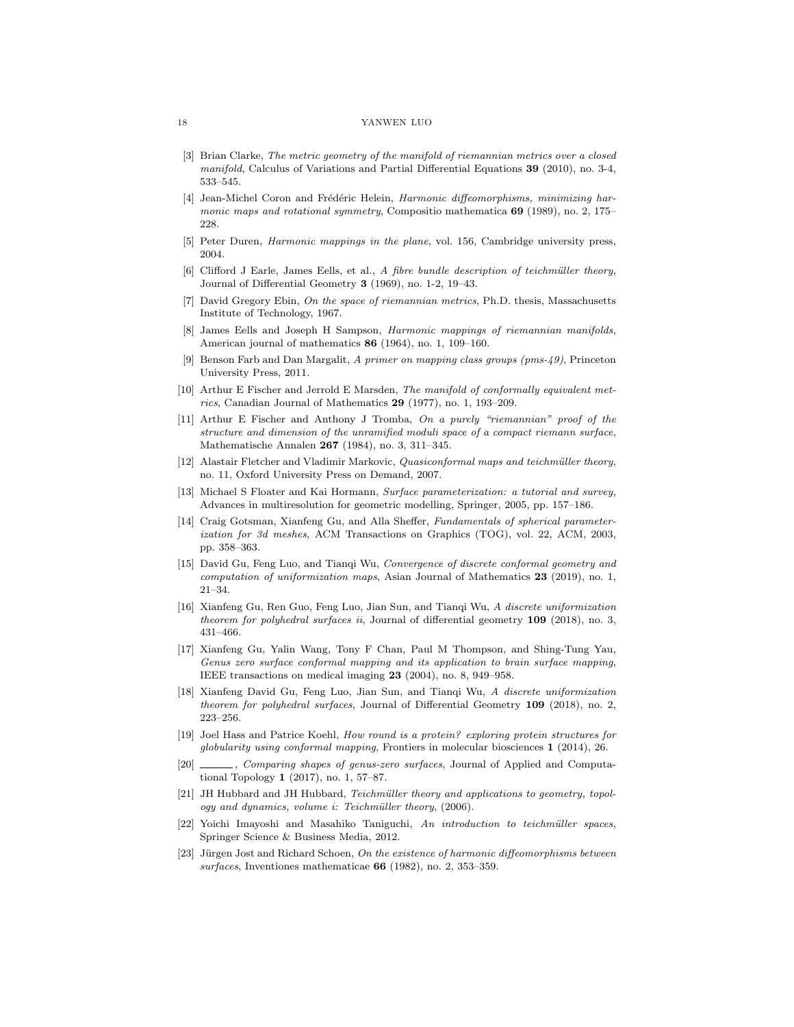- <span id="page-17-16"></span>[3] Brian Clarke, The metric geometry of the manifold of riemannian metrics over a closed manifold, Calculus of Variations and Partial Differential Equations 39 (2010), no. 3-4, 533–545.
- <span id="page-17-8"></span>[4] Jean-Michel Coron and Frédéric Helein, Harmonic diffeomorphisms, minimizing harmonic maps and rotational symmetry, Compositio mathematica  $69$  (1989), no. 2, 175– 228.
- <span id="page-17-6"></span>[5] Peter Duren, Harmonic mappings in the plane, vol. 156, Cambridge university press, 2004.
- <span id="page-17-15"></span>[6] Clifford J Earle, James Eells, et al., A fibre bundle description of teichmüller theory, Journal of Differential Geometry 3 (1969), no. 1-2, 19–43.
- <span id="page-17-13"></span>[7] David Gregory Ebin, On the space of riemannian metrics, Ph.D. thesis, Massachusetts Institute of Technology, 1967.
- <span id="page-17-5"></span>[8] James Eells and Joseph H Sampson, Harmonic mappings of riemannian manifolds, American journal of mathematics 86 (1964), no. 1, 109–160.
- <span id="page-17-12"></span>[9] Benson Farb and Dan Margalit, A primer on mapping class groups (pms-49), Princeton University Press, 2011.
- <span id="page-17-17"></span>[10] Arthur E Fischer and Jerrold E Marsden, The manifold of conformally equivalent metrics, Canadian Journal of Mathematics  $29$  (1977), no. 1, 193–209.
- <span id="page-17-14"></span>[11] Arthur E Fischer and Anthony J Tromba, On a purely "riemannian" proof of the structure and dimension of the unramified moduli space of a compact riemann surface, Mathematische Annalen 267 (1984), no. 3, 311–345.
- <span id="page-17-20"></span>[12] Alastair Fletcher and Vladimir Markovic, Quasiconformal maps and teichmüller theory, no. 11, Oxford University Press on Demand, 2007.
- <span id="page-17-3"></span>[13] Michael S Floater and Kai Hormann, Surface parameterization: a tutorial and survey, Advances in multiresolution for geometric modelling, Springer, 2005, pp. 157–186.
- <span id="page-17-0"></span>[14] Craig Gotsman, Xianfeng Gu, and Alla Sheffer, Fundamentals of spherical parameterization for 3d meshes, ACM Transactions on Graphics (TOG), vol. 22, ACM, 2003, pp. 358–363.
- <span id="page-17-11"></span>[15] David Gu, Feng Luo, and Tianqi Wu, Convergence of discrete conformal geometry and computation of uniformization maps, Asian Journal of Mathematics 23 (2019), no. 1, 21–34.
- <span id="page-17-10"></span>[16] Xianfeng Gu, Ren Guo, Feng Luo, Jian Sun, and Tianqi Wu, A discrete uniformization theorem for polyhedral surfaces ii, Journal of differential geometry  $109$  (2018), no. 3, 431–466.
- <span id="page-17-1"></span>[17] Xianfeng Gu, Yalin Wang, Tony F Chan, Paul M Thompson, and Shing-Tung Yau, Genus zero surface conformal mapping and its application to brain surface mapping, IEEE transactions on medical imaging 23 (2004), no. 8, 949–958.
- <span id="page-17-9"></span>[18] Xianfeng David Gu, Feng Luo, Jian Sun, and Tianqi Wu, A discrete uniformization theorem for polyhedral surfaces, Journal of Differential Geometry 109 (2018), no. 2, 223–256.
- <span id="page-17-18"></span>[19] Joel Hass and Patrice Koehl, How round is a protein? exploring protein structures for globularity using conformal mapping, Frontiers in molecular biosciences 1 (2014), 26.
- <span id="page-17-2"></span>[20] \_\_\_\_, *Comparing shapes of genus-zero surfaces*, Journal of Applied and Computational Topology 1 (2017), no. 1, 57–87.
- <span id="page-17-19"></span>[21] JH Hubbard and JH Hubbard, Teichmüller theory and applications to geometry, topology and dynamics, volume i: Teichmüller theory, (2006).
- <span id="page-17-4"></span> $[22]$  Yoichi Imayoshi and Masahiko Taniguchi, An introduction to teichmüller spaces, Springer Science & Business Media, 2012.
- <span id="page-17-7"></span>[23] Jürgen Jost and Richard Schoen, On the existence of harmonic diffeomorphisms between surfaces, Inventiones mathematicae 66 (1982), no. 2, 353–359.